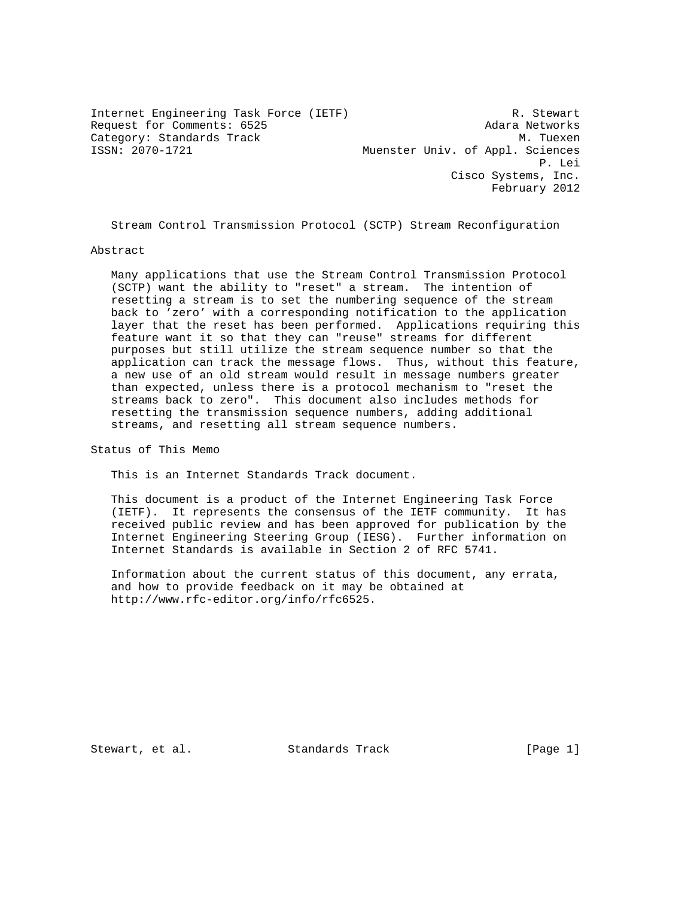Internet Engineering Task Force (IETF) R. Stewart Request for Comments: 6525 Adara Networks Category: Standards Track<br>
ISSN: 2070-1721 Muenster Univ. of Appl. Sciences Muenster Univ. of Appl. Sciences P. Lei Cisco Systems, Inc. February 2012

Stream Control Transmission Protocol (SCTP) Stream Reconfiguration

### Abstract

 Many applications that use the Stream Control Transmission Protocol (SCTP) want the ability to "reset" a stream. The intention of resetting a stream is to set the numbering sequence of the stream back to 'zero' with a corresponding notification to the application layer that the reset has been performed. Applications requiring this feature want it so that they can "reuse" streams for different purposes but still utilize the stream sequence number so that the application can track the message flows. Thus, without this feature, a new use of an old stream would result in message numbers greater than expected, unless there is a protocol mechanism to "reset the streams back to zero". This document also includes methods for resetting the transmission sequence numbers, adding additional streams, and resetting all stream sequence numbers.

Status of This Memo

This is an Internet Standards Track document.

 This document is a product of the Internet Engineering Task Force (IETF). It represents the consensus of the IETF community. It has received public review and has been approved for publication by the Internet Engineering Steering Group (IESG). Further information on Internet Standards is available in Section 2 of RFC 5741.

 Information about the current status of this document, any errata, and how to provide feedback on it may be obtained at http://www.rfc-editor.org/info/rfc6525.

Stewart, et al. Standards Track [Page 1]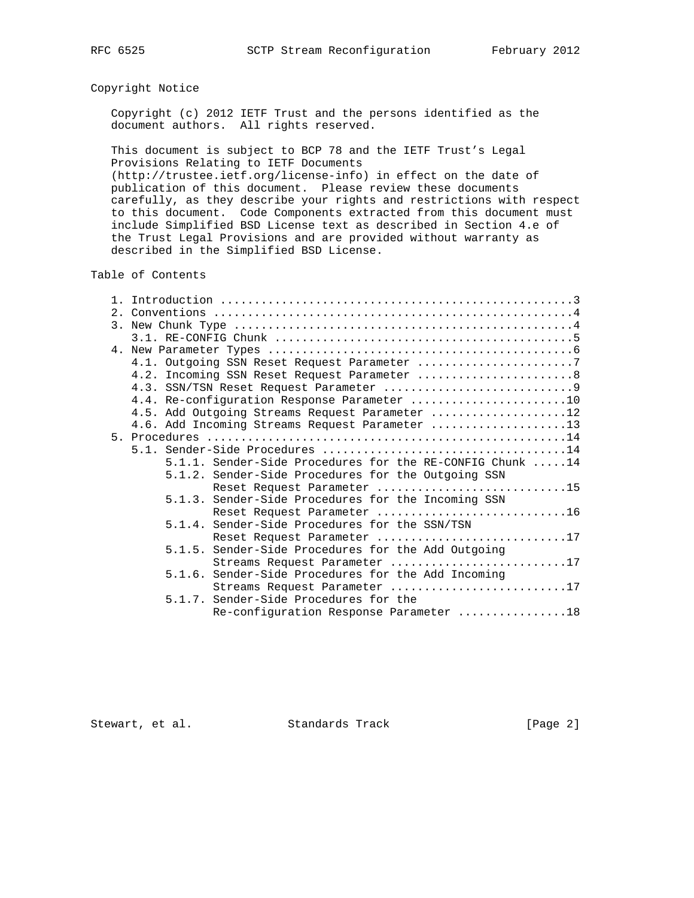# Copyright Notice

 Copyright (c) 2012 IETF Trust and the persons identified as the document authors. All rights reserved.

 This document is subject to BCP 78 and the IETF Trust's Legal Provisions Relating to IETF Documents

 (http://trustee.ietf.org/license-info) in effect on the date of publication of this document. Please review these documents carefully, as they describe your rights and restrictions with respect to this document. Code Components extracted from this document must include Simplified BSD License text as described in Section 4.e of the Trust Legal Provisions and are provided without warranty as described in the Simplified BSD License.

## Table of Contents

|  | 4.1. Outgoing SSN Reset Request Parameter 7                |
|--|------------------------------------------------------------|
|  | 4.2. Incoming SSN Reset Request Parameter  8               |
|  |                                                            |
|  | 4.4. Re-configuration Response Parameter 10                |
|  | 4.5. Add Outgoing Streams Request Parameter 12             |
|  | 4.6. Add Incoming Streams Request Parameter 13             |
|  |                                                            |
|  |                                                            |
|  | $5.1.1.$ Sender-Side Procedures for the RE-CONFIG Chunk 14 |
|  | 5.1.2. Sender-Side Procedures for the Outgoing SSN         |
|  | Reset Request Parameter 15                                 |
|  | 5.1.3. Sender-Side Procedures for the Incoming SSN         |
|  | Reset Request Parameter 16                                 |
|  | 5.1.4. Sender-Side Procedures for the SSN/TSN              |
|  | Reset Request Parameter 17                                 |
|  | 5.1.5. Sender-Side Procedures for the Add Outgoing         |
|  | Streams Request Parameter 17                               |
|  | 5.1.6. Sender-Side Procedures for the Add Incoming         |
|  | Streams Request Parameter 17                               |
|  | 5.1.7. Sender-Side Procedures for the                      |
|  | Re-configuration Response Parameter 18                     |

Stewart, et al. Standards Track [Page 2]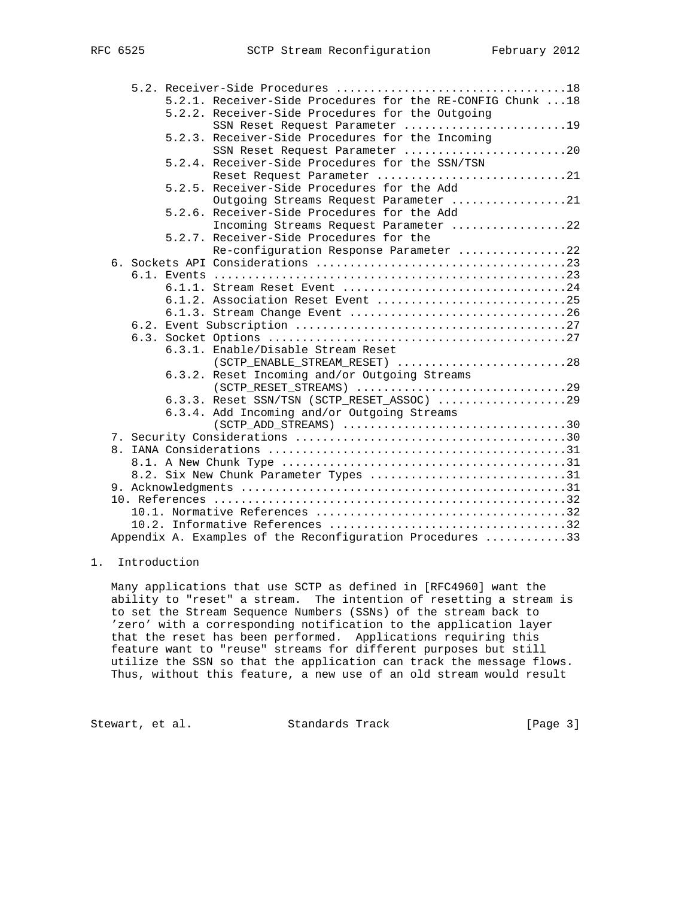|  | 5.2.1. Receiver-Side Procedures for the RE-CONFIG Chunk  18 |
|--|-------------------------------------------------------------|
|  | 5.2.2. Receiver-Side Procedures for the Outgoing            |
|  | SSN Reset Request Parameter 19                              |
|  | 5.2.3. Receiver-Side Procedures for the Incoming            |
|  | SSN Reset Request Parameter 20                              |
|  | 5.2.4. Receiver-Side Procedures for the SSN/TSN             |
|  | Reset Request Parameter 21                                  |
|  | 5.2.5. Receiver-Side Procedures for the Add                 |
|  | Outgoing Streams Request Parameter 21                       |
|  | 5.2.6. Receiver-Side Procedures for the Add                 |
|  | Incoming Streams Request Parameter 22                       |
|  | 5.2.7. Receiver-Side Procedures for the                     |
|  | Re-configuration Response Parameter 22                      |
|  |                                                             |
|  |                                                             |
|  | 6.1.1. Stream Reset Event 24                                |
|  |                                                             |
|  |                                                             |
|  |                                                             |
|  |                                                             |
|  | 6.3.1. Enable/Disable Stream Reset                          |
|  | $(\texttt{ SCTP\_ENABLE\_STREAM\_RESET})$ 28                |
|  | 6.3.2. Reset Incoming and/or Outgoing Streams               |
|  |                                                             |
|  | 6.3.3. Reset SSN/TSN (SCTP_RESET_ASSOC) 29                  |
|  | 6.3.4. Add Incoming and/or Outgoing Streams                 |
|  |                                                             |
|  |                                                             |
|  |                                                             |
|  |                                                             |
|  | 8.2. Six New Chunk Parameter Types 31                       |
|  |                                                             |
|  |                                                             |
|  |                                                             |
|  |                                                             |
|  | Appendix A. Examples of the Reconfiguration Procedures 33   |

# 1. Introduction

 Many applications that use SCTP as defined in [RFC4960] want the ability to "reset" a stream. The intention of resetting a stream is to set the Stream Sequence Numbers (SSNs) of the stream back to 'zero' with a corresponding notification to the application layer that the reset has been performed. Applications requiring this feature want to "reuse" streams for different purposes but still utilize the SSN so that the application can track the message flows. Thus, without this feature, a new use of an old stream would result

Stewart, et al. Standards Track [Page 3]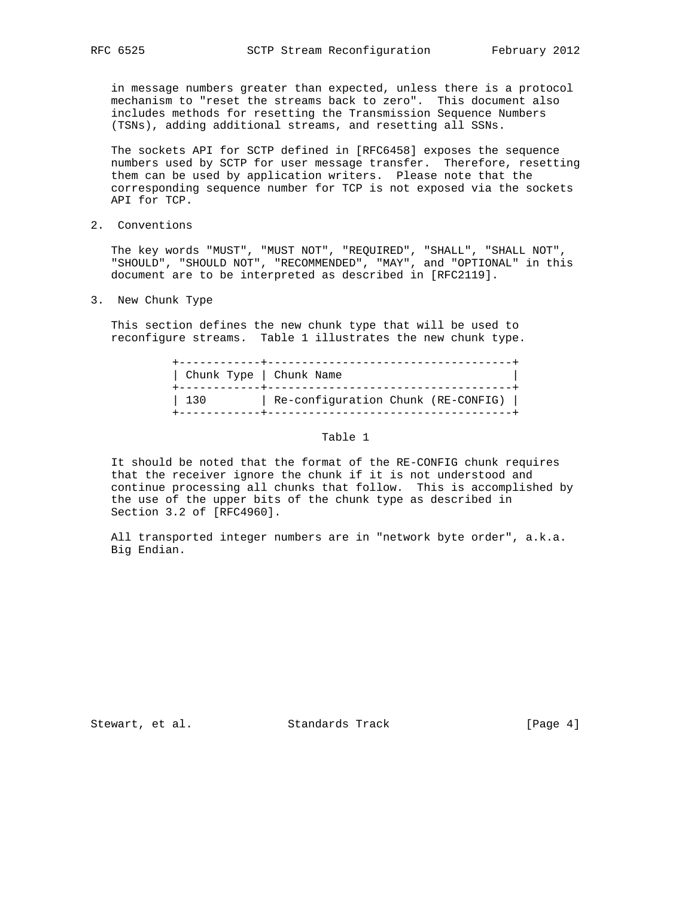in message numbers greater than expected, unless there is a protocol mechanism to "reset the streams back to zero". This document also includes methods for resetting the Transmission Sequence Numbers (TSNs), adding additional streams, and resetting all SSNs.

 The sockets API for SCTP defined in [RFC6458] exposes the sequence numbers used by SCTP for user message transfer. Therefore, resetting them can be used by application writers. Please note that the corresponding sequence number for TCP is not exposed via the sockets API for TCP.

2. Conventions

 The key words "MUST", "MUST NOT", "REQUIRED", "SHALL", "SHALL NOT", "SHOULD", "SHOULD NOT", "RECOMMENDED", "MAY", and "OPTIONAL" in this document are to be interpreted as described in [RFC2119].

3. New Chunk Type

 This section defines the new chunk type that will be used to reconfigure streams. Table 1 illustrates the new chunk type.

| Chunk Type   Chunk Name |
|-------------------------|
| 130                     |

## Table 1

 It should be noted that the format of the RE-CONFIG chunk requires that the receiver ignore the chunk if it is not understood and continue processing all chunks that follow. This is accomplished by the use of the upper bits of the chunk type as described in Section 3.2 of [RFC4960].

 All transported integer numbers are in "network byte order", a.k.a. Big Endian.

Stewart, et al. Standards Track [Page 4]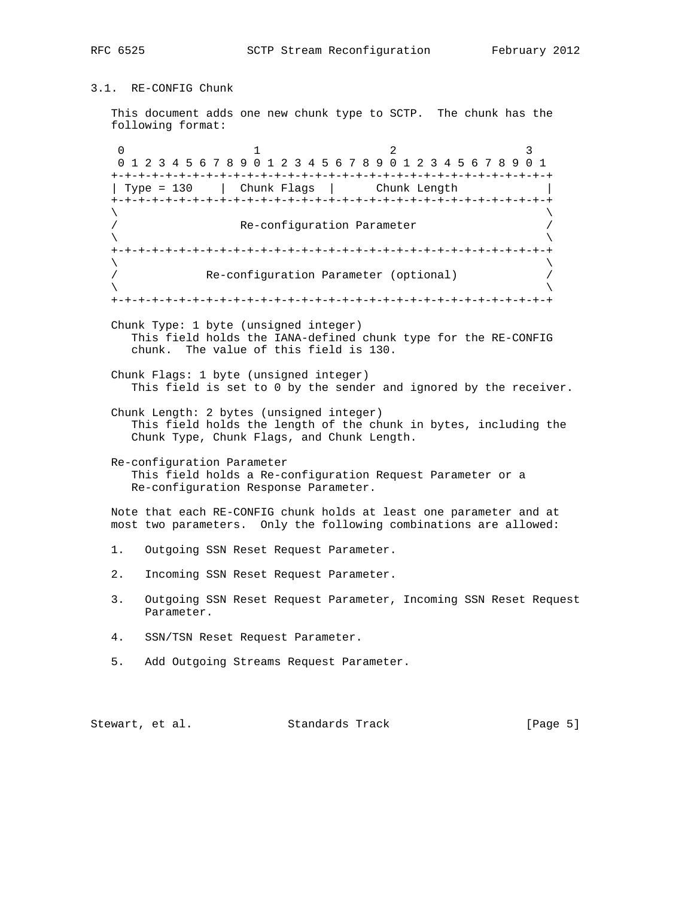3.1. RE-CONFIG Chunk

 This document adds one new chunk type to SCTP. The chunk has the following format:

0  $1$  2 3 0 1 2 3 4 5 6 7 8 9 0 1 2 3 4 5 6 7 8 9 0 1 2 3 4 5 6 7 8 9 0 1 +-+-+-+-+-+-+-+-+-+-+-+-+-+-+-+-+-+-+-+-+-+-+-+-+-+-+-+-+-+-+-+-+ | Type = 130 | Chunk Flags | Chunk Length | +-+-+-+-+-+-+-+-+-+-+-+-+-+-+-+-+-+-+-+-+-+-+-+-+-+-+-+-+-+-+-+-+  $\lambda$  and  $\lambda$  and  $\lambda$  and  $\lambda$  and  $\lambda$  and  $\lambda$  and  $\lambda$  and  $\lambda$  and  $\lambda$  and  $\lambda$  and  $\lambda$  and  $\lambda$  and  $\lambda$  and  $\lambda$  and  $\lambda$  and  $\lambda$  and  $\lambda$  and  $\lambda$  and  $\lambda$  and  $\lambda$  and  $\lambda$  and  $\lambda$  and  $\lambda$  and  $\lambda$  and  $\lambda$  Re-configuration Parameter  $\lambda$  and  $\lambda$  and  $\lambda$  and  $\lambda$  and  $\lambda$  and  $\lambda$  and  $\lambda$  and  $\lambda$  and  $\lambda$  and  $\lambda$  and  $\lambda$  and  $\lambda$  and  $\lambda$  and  $\lambda$  and  $\lambda$  and  $\lambda$  and  $\lambda$  and  $\lambda$  and  $\lambda$  and  $\lambda$  and  $\lambda$  and  $\lambda$  and  $\lambda$  and  $\lambda$  and  $\lambda$  +-+-+-+-+-+-+-+-+-+-+-+-+-+-+-+-+-+-+-+-+-+-+-+-+-+-+-+-+-+-+-+-+  $\lambda$  and  $\lambda$  and  $\lambda$  and  $\lambda$  and  $\lambda$  and  $\lambda$  and  $\lambda$  and  $\lambda$  and  $\lambda$  and  $\lambda$  and  $\lambda$  and  $\lambda$  and  $\lambda$  and  $\lambda$  and  $\lambda$  and  $\lambda$  and  $\lambda$  and  $\lambda$  and  $\lambda$  and  $\lambda$  and  $\lambda$  and  $\lambda$  and  $\lambda$  and  $\lambda$  and  $\lambda$  / Re-configuration Parameter (optional) /  $\lambda$  and  $\lambda$  and  $\lambda$  and  $\lambda$  and  $\lambda$  and  $\lambda$  and  $\lambda$  and  $\lambda$  and  $\lambda$  and  $\lambda$  and  $\lambda$  and  $\lambda$  and  $\lambda$  and  $\lambda$  and  $\lambda$  and  $\lambda$  and  $\lambda$  and  $\lambda$  and  $\lambda$  and  $\lambda$  and  $\lambda$  and  $\lambda$  and  $\lambda$  and  $\lambda$  and  $\lambda$  +-+-+-+-+-+-+-+-+-+-+-+-+-+-+-+-+-+-+-+-+-+-+-+-+-+-+-+-+-+-+-+-+ Chunk Type: 1 byte (unsigned integer) This field holds the IANA-defined chunk type for the RE-CONFIG chunk. The value of this field is 130. Chunk Flags: 1 byte (unsigned integer) This field is set to 0 by the sender and ignored by the receiver. Chunk Length: 2 bytes (unsigned integer) This field holds the length of the chunk in bytes, including the Chunk Type, Chunk Flags, and Chunk Length. Re-configuration Parameter This field holds a Re-configuration Request Parameter or a Re-configuration Response Parameter. Note that each RE-CONFIG chunk holds at least one parameter and at most two parameters. Only the following combinations are allowed: 1. Outgoing SSN Reset Request Parameter. 2. Incoming SSN Reset Request Parameter. 3. Outgoing SSN Reset Request Parameter, Incoming SSN Reset Request Parameter. 4. SSN/TSN Reset Request Parameter.

5. Add Outgoing Streams Request Parameter.

Stewart, et al. Standards Track [Page 5]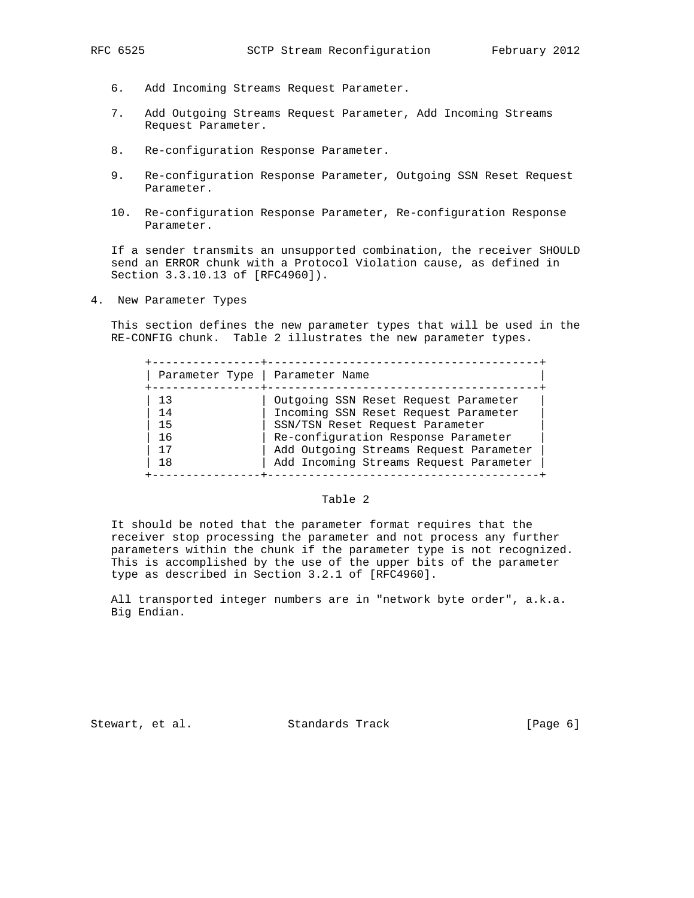- 6. Add Incoming Streams Request Parameter.
- 7. Add Outgoing Streams Request Parameter, Add Incoming Streams Request Parameter.
- 8. Re-configuration Response Parameter.
- 9. Re-configuration Response Parameter, Outgoing SSN Reset Request Parameter.
- 10. Re-configuration Response Parameter, Re-configuration Response Parameter.

 If a sender transmits an unsupported combination, the receiver SHOULD send an ERROR chunk with a Protocol Violation cause, as defined in Section 3.3.10.13 of [RFC4960]).

4. New Parameter Types

 This section defines the new parameter types that will be used in the RE-CONFIG chunk. Table 2 illustrates the new parameter types.

| Parameter Type   Parameter Name |                                        |
|---------------------------------|----------------------------------------|
| 13                              | Outgoing SSN Reset Request Parameter   |
| 14                              | Incoming SSN Reset Request Parameter   |
| 15                              | SSN/TSN Reset Request Parameter        |
| 16                              | Re-configuration Response Parameter    |
| 17                              | Add Outgoing Streams Request Parameter |
| 18                              | Add Incoming Streams Request Parameter |

## Table 2

 It should be noted that the parameter format requires that the receiver stop processing the parameter and not process any further parameters within the chunk if the parameter type is not recognized. This is accomplished by the use of the upper bits of the parameter type as described in Section 3.2.1 of [RFC4960].

 All transported integer numbers are in "network byte order", a.k.a. Big Endian.

Stewart, et al. Standards Track [Page 6]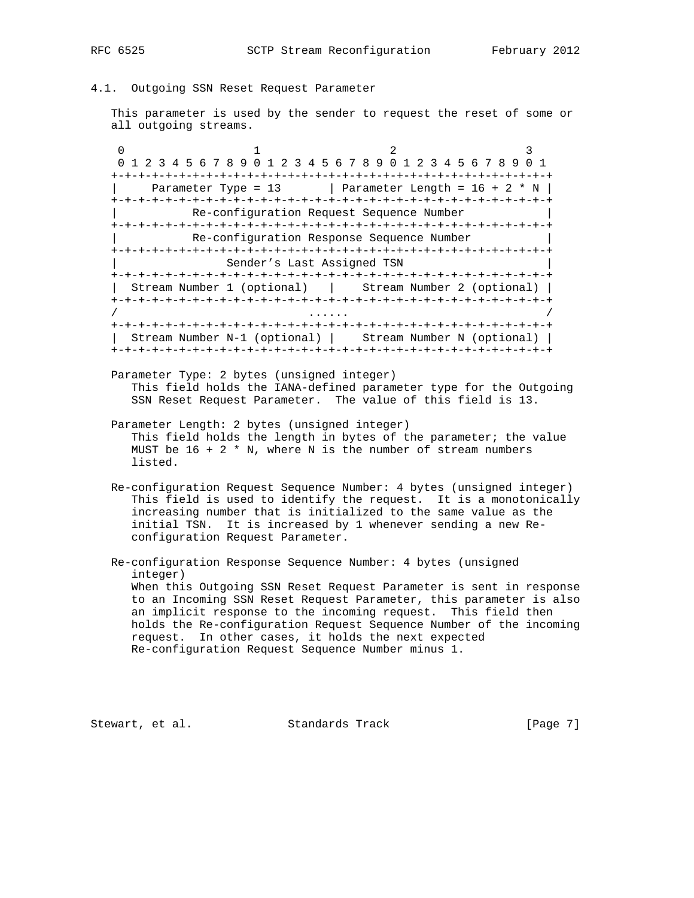## 4.1. Outgoing SSN Reset Request Parameter

 This parameter is used by the sender to request the reset of some or all outgoing streams.

0  $1$  2 3 0 1 2 3 4 5 6 7 8 9 0 1 2 3 4 5 6 7 8 9 0 1 2 3 4 5 6 7 8 9 0 1 +-+-+-+-+-+-+-+-+-+-+-+-+-+-+-+-+-+-+-+-+-+-+-+-+-+-+-+-+-+-+-+-+ Parameter Type =  $13$  | Parameter Length =  $16 + 2 * N$  | +-+-+-+-+-+-+-+-+-+-+-+-+-+-+-+-+-+-+-+-+-+-+-+-+-+-+-+-+-+-+-+-+ Re-configuration Request Sequence Number +-+-+-+-+-+-+-+-+-+-+-+-+-+-+-+-+-+-+-+-+-+-+-+-+-+-+-+-+-+-+-+-+ Re-configuration Response Sequence Number +-+-+-+-+-+-+-+-+-+-+-+-+-+-+-+-+-+-+-+-+-+-+-+-+-+-+-+-+-+-+-+-+ Sender's Last Assigned TSN +-+-+-+-+-+-+-+-+-+-+-+-+-+-+-+-+-+-+-+-+-+-+-+-+-+-+-+-+-+-+-+-+ | Stream Number 1 (optional) | Stream Number 2 (optional) | +-+-+-+-+-+-+-+-+-+-+-+-+-+-+-+-+-+-+-+-+-+-+-+-+-+-+-+-+-+-+-+-+ / ...... / +-+-+-+-+-+-+-+-+-+-+-+-+-+-+-+-+-+-+-+-+-+-+-+-+-+-+-+-+-+-+-+-+ | Stream Number N-1 (optional) | Stream Number N (optional) | +-+-+-+-+-+-+-+-+-+-+-+-+-+-+-+-+-+-+-+-+-+-+-+-+-+-+-+-+-+-+-+-+

- Parameter Type: 2 bytes (unsigned integer) This field holds the IANA-defined parameter type for the Outgoing SSN Reset Request Parameter. The value of this field is 13.
- Parameter Length: 2 bytes (unsigned integer) This field holds the length in bytes of the parameter; the value MUST be  $16 + 2 * N$ , where N is the number of stream numbers listed.
- Re-configuration Request Sequence Number: 4 bytes (unsigned integer) This field is used to identify the request. It is a monotonically increasing number that is initialized to the same value as the initial TSN. It is increased by 1 whenever sending a new Re configuration Request Parameter.
- Re-configuration Response Sequence Number: 4 bytes (unsigned integer) When this Outgoing SSN Reset Request Parameter is sent in response to an Incoming SSN Reset Request Parameter, this parameter is also an implicit response to the incoming request. This field then holds the Re-configuration Request Sequence Number of the incoming request. In other cases, it holds the next expected Re-configuration Request Sequence Number minus 1.

Stewart, et al. Standards Track [Page 7]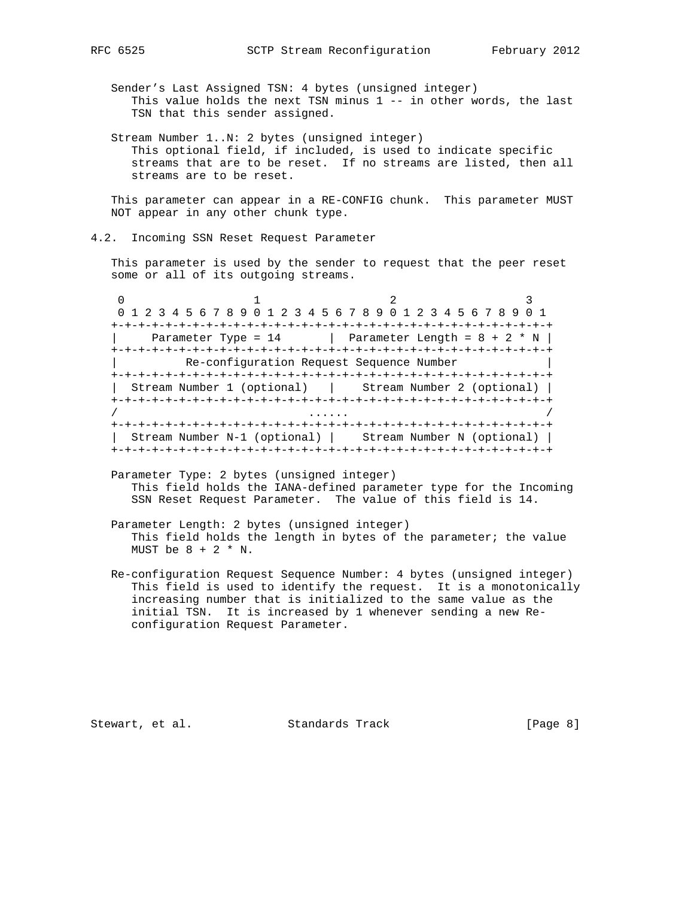Sender's Last Assigned TSN: 4 bytes (unsigned integer) This value holds the next TSN minus 1 -- in other words, the last TSN that this sender assigned.

 Stream Number 1..N: 2 bytes (unsigned integer) This optional field, if included, is used to indicate specific streams that are to be reset. If no streams are listed, then all streams are to be reset.

 This parameter can appear in a RE-CONFIG chunk. This parameter MUST NOT appear in any other chunk type.

4.2. Incoming SSN Reset Request Parameter

 This parameter is used by the sender to request that the peer reset some or all of its outgoing streams.

0  $1$  2 3 0 1 2 3 4 5 6 7 8 9 0 1 2 3 4 5 6 7 8 9 0 1 2 3 4 5 6 7 8 9 0 1 +-+-+-+-+-+-+-+-+-+-+-+-+-+-+-+-+-+-+-+-+-+-+-+-+-+-+-+-+-+-+-+-+ | Parameter Type =  $14$  | Parameter Length =  $8 + 2 * N$  | +-+-+-+-+-+-+-+-+-+-+-+-+-+-+-+-+-+-+-+-+-+-+-+-+-+-+-+-+-+-+-+-+ | Re-configuration Request Sequence Number | +-+-+-+-+-+-+-+-+-+-+-+-+-+-+-+-+-+-+-+-+-+-+-+-+-+-+-+-+-+-+-+-+ | Stream Number 1 (optional) | Stream Number 2 (optional) | +-+-+-+-+-+-+-+-+-+-+-+-+-+-+-+-+-+-+-+-+-+-+-+-+-+-+-+-+-+-+-+-+ / ...... / +-+-+-+-+-+-+-+-+-+-+-+-+-+-+-+-+-+-+-+-+-+-+-+-+-+-+-+-+-+-+-+-+ | Stream Number N-1 (optional) | Stream Number N (optional) | +-+-+-+-+-+-+-+-+-+-+-+-+-+-+-+-+-+-+-+-+-+-+-+-+-+-+-+-+-+-+-+-+

- Parameter Type: 2 bytes (unsigned integer) This field holds the IANA-defined parameter type for the Incoming SSN Reset Request Parameter. The value of this field is 14.
- Parameter Length: 2 bytes (unsigned integer) This field holds the length in bytes of the parameter; the value MUST be  $8 + 2 * N$ .
- Re-configuration Request Sequence Number: 4 bytes (unsigned integer) This field is used to identify the request. It is a monotonically increasing number that is initialized to the same value as the initial TSN. It is increased by 1 whenever sending a new Re configuration Request Parameter.

Stewart, et al. Standards Track [Page 8]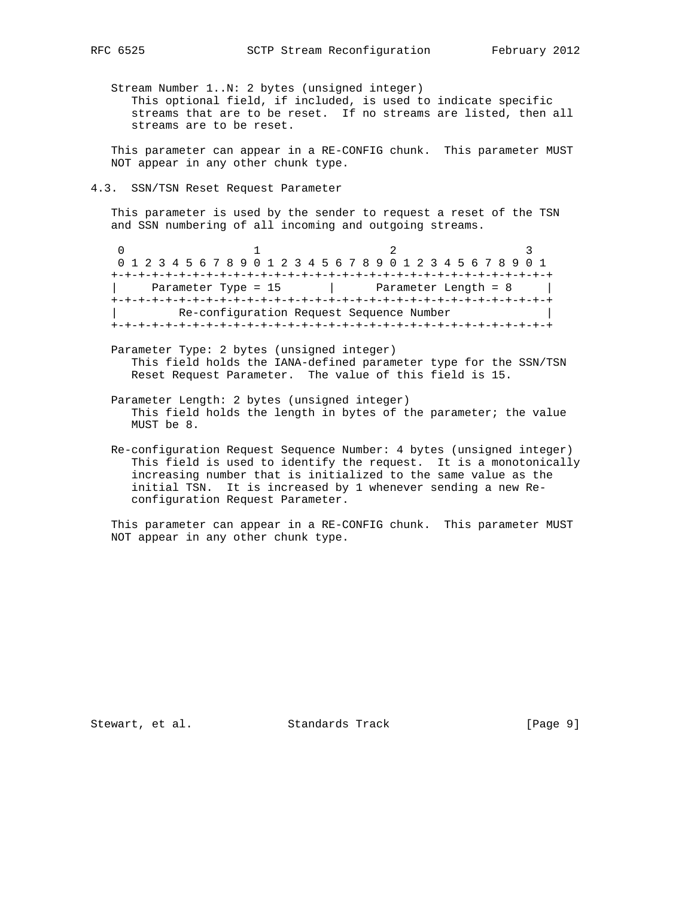Stream Number 1..N: 2 bytes (unsigned integer) This optional field, if included, is used to indicate specific streams that are to be reset. If no streams are listed, then all streams are to be reset.

 This parameter can appear in a RE-CONFIG chunk. This parameter MUST NOT appear in any other chunk type.

4.3. SSN/TSN Reset Request Parameter

 This parameter is used by the sender to request a reset of the TSN and SSN numbering of all incoming and outgoing streams.

0  $1$  2 3 0 1 2 3 4 5 6 7 8 9 0 1 2 3 4 5 6 7 8 9 0 1 2 3 4 5 6 7 8 9 0 1 +-+-+-+-+-+-+-+-+-+-+-+-+-+-+-+-+-+-+-+-+-+-+-+-+-+-+-+-+-+-+-+-+ Parameter Type = 15 | Parameter Length = 8 | +-+-+-+-+-+-+-+-+-+-+-+-+-+-+-+-+-+-+-+-+-+-+-+-+-+-+-+-+-+-+-+-+ Re-configuration Request Sequence Number +-+-+-+-+-+-+-+-+-+-+-+-+-+-+-+-+-+-+-+-+-+-+-+-+-+-+-+-+-+-+-+-+

- Parameter Type: 2 bytes (unsigned integer) This field holds the IANA-defined parameter type for the SSN/TSN Reset Request Parameter. The value of this field is 15.
- Parameter Length: 2 bytes (unsigned integer) This field holds the length in bytes of the parameter; the value MUST be 8.
- Re-configuration Request Sequence Number: 4 bytes (unsigned integer) This field is used to identify the request. It is a monotonically increasing number that is initialized to the same value as the initial TSN. It is increased by 1 whenever sending a new Re configuration Request Parameter.

 This parameter can appear in a RE-CONFIG chunk. This parameter MUST NOT appear in any other chunk type.

Stewart, et al. Standards Track [Page 9]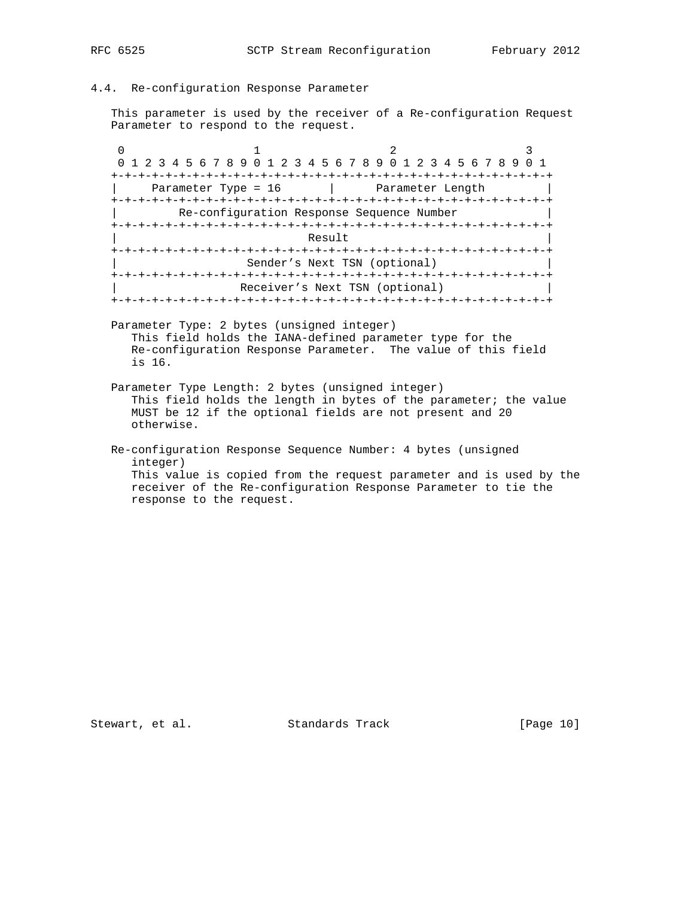# 4.4. Re-configuration Response Parameter

 This parameter is used by the receiver of a Re-configuration Request Parameter to respond to the request.

0  $1$  2 3 0 1 2 3 4 5 6 7 8 9 0 1 2 3 4 5 6 7 8 9 0 1 2 3 4 5 6 7 8 9 0 1 +-+-+-+-+-+-+-+-+-+-+-+-+-+-+-+-+-+-+-+-+-+-+-+-+-+-+-+-+-+-+-+-+ Parameter Type = 16 | Parameter Length +-+-+-+-+-+-+-+-+-+-+-+-+-+-+-+-+-+-+-+-+-+-+-+-+-+-+-+-+-+-+-+-+ Re-configuration Response Sequence Number +-+-+-+-+-+-+-+-+-+-+-+-+-+-+-+-+-+-+-+-+-+-+-+-+-+-+-+-+-+-+-+-+  $|\hspace{.1cm}|\hspace{.1cm}|\hspace{.1cm}|\hspace{.1cm}|\hspace{.1cm}|\hspace{.1cm}|\hspace{.1cm}|\hspace{.1cm}|\hspace{.1cm}|\hspace{.1cm}|\hspace{.1cm}|\hspace{.1cm}|\hspace{.1cm}|\hspace{.1cm}|\hspace{.1cm}|\hspace{.1cm}|\hspace{.1cm}|\hspace{.1cm}|\hspace{.1cm}|\hspace{.1cm}|\hspace{.1cm}|\hspace{.1cm}|\hspace{.1cm}|\hspace{.1cm}|\hspace{.1cm}|\hspace{.1cm}|\hspace{.1cm}|\hspace{$  +-+-+-+-+-+-+-+-+-+-+-+-+-+-+-+-+-+-+-+-+-+-+-+-+-+-+-+-+-+-+-+-+ Sender's Next TSN (optional) +-+-+-+-+-+-+-+-+-+-+-+-+-+-+-+-+-+-+-+-+-+-+-+-+-+-+-+-+-+-+-+-+ Receiver's Next TSN (optional) +-+-+-+-+-+-+-+-+-+-+-+-+-+-+-+-+-+-+-+-+-+-+-+-+-+-+-+-+-+-+-+-+

 Parameter Type: 2 bytes (unsigned integer) This field holds the IANA-defined parameter type for the Re-configuration Response Parameter. The value of this field is 16.

 Parameter Type Length: 2 bytes (unsigned integer) This field holds the length in bytes of the parameter; the value MUST be 12 if the optional fields are not present and 20 otherwise.

# Re-configuration Response Sequence Number: 4 bytes (unsigned integer) This value is copied from the request parameter and is used by the receiver of the Re-configuration Response Parameter to tie the response to the request.

Stewart, et al. Standards Track [Page 10]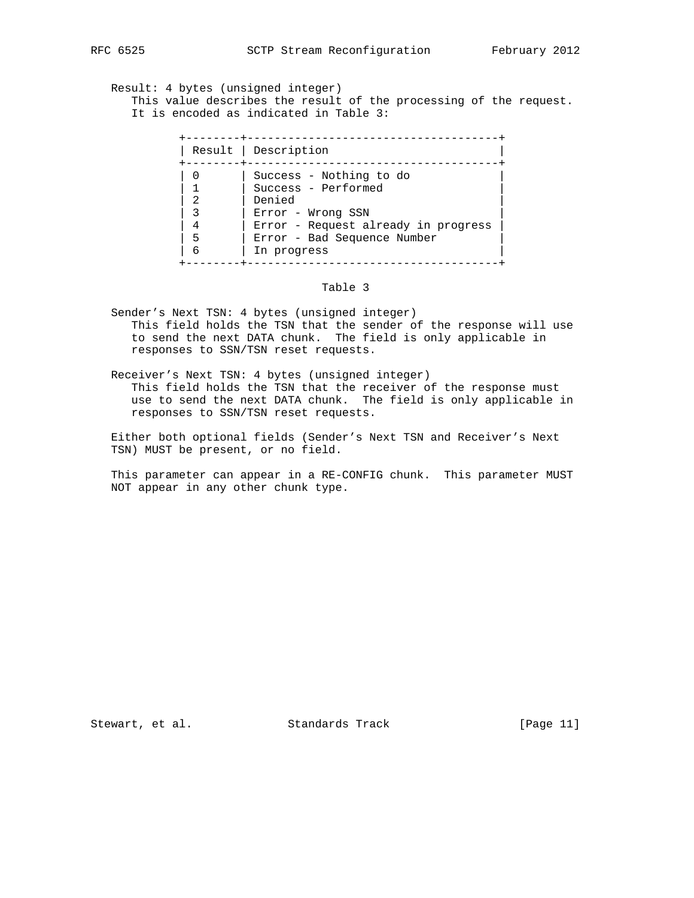Result: 4 bytes (unsigned integer)

 This value describes the result of the processing of the request. It is encoded as indicated in Table 3:

|                  | Result   Description                                                                                                                                |
|------------------|-----------------------------------------------------------------------------------------------------------------------------------------------------|
| 2<br>4<br>5<br>6 | Success - Nothing to do<br>Success - Performed<br>Denied<br>Error - Wrong SSN<br>Error - Request already in progress<br>Error - Bad Sequence Number |

# Table 3

- Sender's Next TSN: 4 bytes (unsigned integer) This field holds the TSN that the sender of the response will use to send the next DATA chunk. The field is only applicable in responses to SSN/TSN reset requests.
- Receiver's Next TSN: 4 bytes (unsigned integer) This field holds the TSN that the receiver of the response must use to send the next DATA chunk. The field is only applicable in responses to SSN/TSN reset requests.

 Either both optional fields (Sender's Next TSN and Receiver's Next TSN) MUST be present, or no field.

 This parameter can appear in a RE-CONFIG chunk. This parameter MUST NOT appear in any other chunk type.

Stewart, et al. Standards Track [Page 11]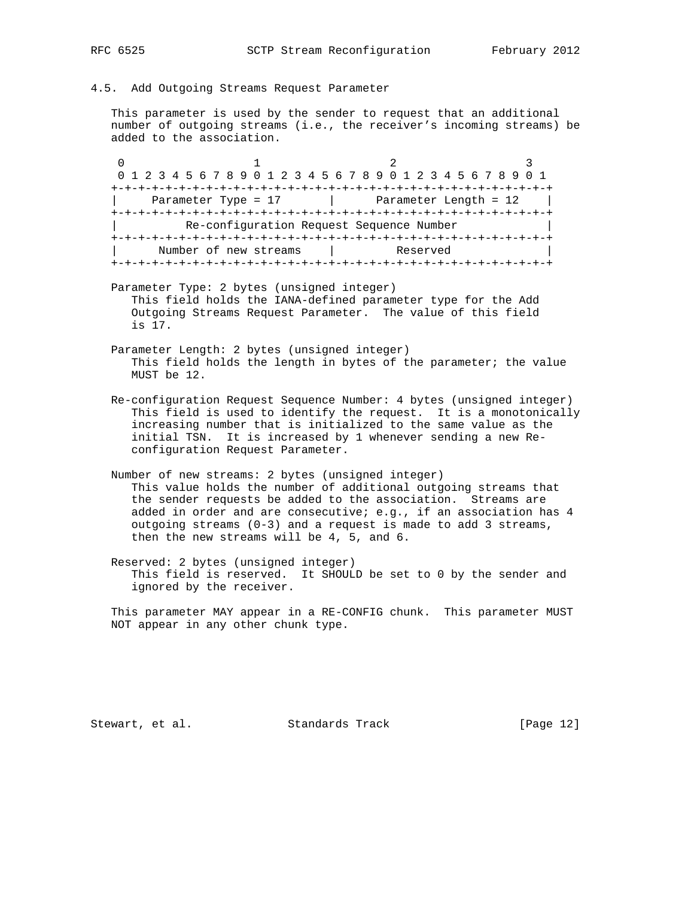### 4.5. Add Outgoing Streams Request Parameter

 This parameter is used by the sender to request that an additional number of outgoing streams (i.e., the receiver's incoming streams) be added to the association.

0  $1$  2 3 0 1 2 3 4 5 6 7 8 9 0 1 2 3 4 5 6 7 8 9 0 1 2 3 4 5 6 7 8 9 0 1 +-+-+-+-+-+-+-+-+-+-+-+-+-+-+-+-+-+-+-+-+-+-+-+-+-+-+-+-+-+-+-+-+  $Parameter Type = 17$  | Parameter Length = 12 | +-+-+-+-+-+-+-+-+-+-+-+-+-+-+-+-+-+-+-+-+-+-+-+-+-+-+-+-+-+-+-+-+ Re-configuration Request Sequence Number +-+-+-+-+-+-+-+-+-+-+-+-+-+-+-+-+-+-+-+-+-+-+-+-+-+-+-+-+-+-+-+-+ Number of new streams | Reserved +-+-+-+-+-+-+-+-+-+-+-+-+-+-+-+-+-+-+-+-+-+-+-+-+-+-+-+-+-+-+-+-+

- Parameter Type: 2 bytes (unsigned integer) This field holds the IANA-defined parameter type for the Add Outgoing Streams Request Parameter. The value of this field is 17.
- Parameter Length: 2 bytes (unsigned integer) This field holds the length in bytes of the parameter; the value MUST be 12.
- Re-configuration Request Sequence Number: 4 bytes (unsigned integer) This field is used to identify the request. It is a monotonically increasing number that is initialized to the same value as the initial TSN. It is increased by 1 whenever sending a new Re configuration Request Parameter.
- Number of new streams: 2 bytes (unsigned integer) This value holds the number of additional outgoing streams that the sender requests be added to the association. Streams are added in order and are consecutive; e.g., if an association has 4 outgoing streams  $(0-3)$  and a request is made to add 3 streams, then the new streams will be 4, 5, and 6.
- Reserved: 2 bytes (unsigned integer) This field is reserved. It SHOULD be set to 0 by the sender and ignored by the receiver.

 This parameter MAY appear in a RE-CONFIG chunk. This parameter MUST NOT appear in any other chunk type.

Stewart, et al. Standards Track [Page 12]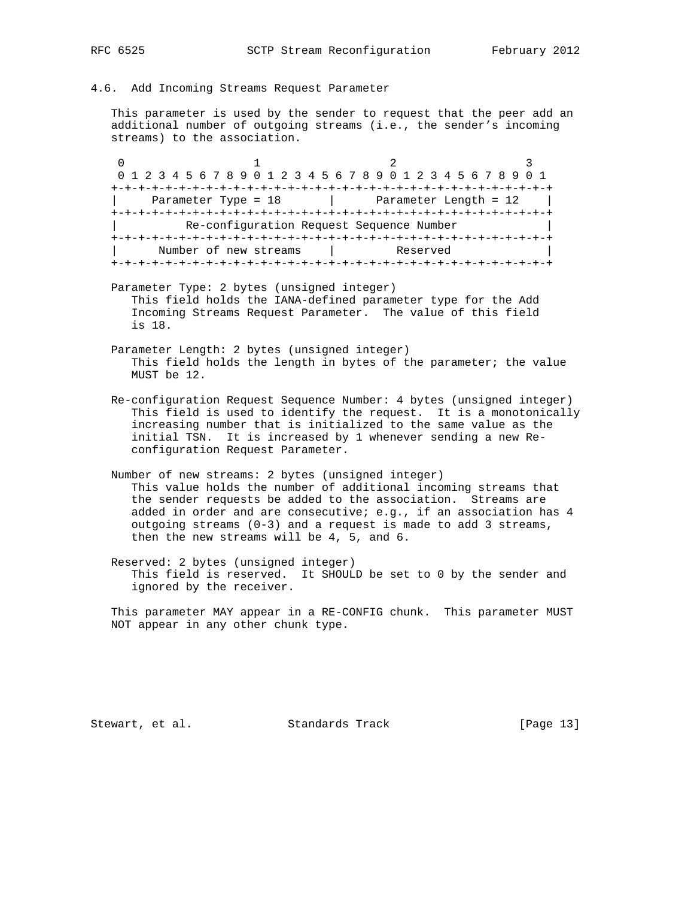## 4.6. Add Incoming Streams Request Parameter

 This parameter is used by the sender to request that the peer add an additional number of outgoing streams (i.e., the sender's incoming streams) to the association.

0  $1$  2 3 0 1 2 3 4 5 6 7 8 9 0 1 2 3 4 5 6 7 8 9 0 1 2 3 4 5 6 7 8 9 0 1 +-+-+-+-+-+-+-+-+-+-+-+-+-+-+-+-+-+-+-+-+-+-+-+-+-+-+-+-+-+-+-+-+ Parameter Type =  $18$  | Parameter Length =  $12$  | +-+-+-+-+-+-+-+-+-+-+-+-+-+-+-+-+-+-+-+-+-+-+-+-+-+-+-+-+-+-+-+-+ Re-configuration Request Sequence Number +-+-+-+-+-+-+-+-+-+-+-+-+-+-+-+-+-+-+-+-+-+-+-+-+-+-+-+-+-+-+-+-+ Number of new streams | Reserved +-+-+-+-+-+-+-+-+-+-+-+-+-+-+-+-+-+-+-+-+-+-+-+-+-+-+-+-+-+-+-+-+

- Parameter Type: 2 bytes (unsigned integer) This field holds the IANA-defined parameter type for the Add Incoming Streams Request Parameter. The value of this field is 18.
- Parameter Length: 2 bytes (unsigned integer) This field holds the length in bytes of the parameter; the value MUST be 12.
- Re-configuration Request Sequence Number: 4 bytes (unsigned integer) This field is used to identify the request. It is a monotonically increasing number that is initialized to the same value as the initial TSN. It is increased by 1 whenever sending a new Re configuration Request Parameter.
- Number of new streams: 2 bytes (unsigned integer) This value holds the number of additional incoming streams that the sender requests be added to the association. Streams are added in order and are consecutive; e.g., if an association has 4 outgoing streams  $(0-3)$  and a request is made to add 3 streams, then the new streams will be 4, 5, and 6.
- Reserved: 2 bytes (unsigned integer) This field is reserved. It SHOULD be set to 0 by the sender and ignored by the receiver.

 This parameter MAY appear in a RE-CONFIG chunk. This parameter MUST NOT appear in any other chunk type.

Stewart, et al. Standards Track [Page 13]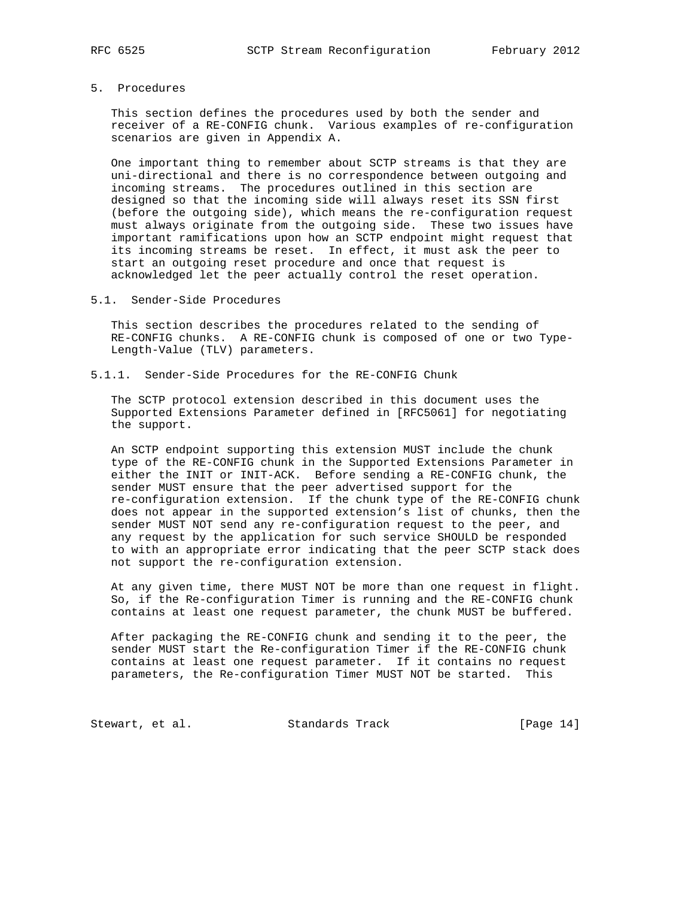5. Procedures

 This section defines the procedures used by both the sender and receiver of a RE-CONFIG chunk. Various examples of re-configuration scenarios are given in Appendix A.

 One important thing to remember about SCTP streams is that they are uni-directional and there is no correspondence between outgoing and incoming streams. The procedures outlined in this section are designed so that the incoming side will always reset its SSN first (before the outgoing side), which means the re-configuration request must always originate from the outgoing side. These two issues have important ramifications upon how an SCTP endpoint might request that its incoming streams be reset. In effect, it must ask the peer to start an outgoing reset procedure and once that request is acknowledged let the peer actually control the reset operation.

5.1. Sender-Side Procedures

 This section describes the procedures related to the sending of RE-CONFIG chunks. A RE-CONFIG chunk is composed of one or two Type- Length-Value (TLV) parameters.

5.1.1. Sender-Side Procedures for the RE-CONFIG Chunk

 The SCTP protocol extension described in this document uses the Supported Extensions Parameter defined in [RFC5061] for negotiating the support.

 An SCTP endpoint supporting this extension MUST include the chunk type of the RE-CONFIG chunk in the Supported Extensions Parameter in either the INIT or INIT-ACK. Before sending a RE-CONFIG chunk, the sender MUST ensure that the peer advertised support for the re-configuration extension. If the chunk type of the RE-CONFIG chunk does not appear in the supported extension's list of chunks, then the sender MUST NOT send any re-configuration request to the peer, and any request by the application for such service SHOULD be responded to with an appropriate error indicating that the peer SCTP stack does not support the re-configuration extension.

 At any given time, there MUST NOT be more than one request in flight. So, if the Re-configuration Timer is running and the RE-CONFIG chunk contains at least one request parameter, the chunk MUST be buffered.

 After packaging the RE-CONFIG chunk and sending it to the peer, the sender MUST start the Re-configuration Timer if the RE-CONFIG chunk contains at least one request parameter. If it contains no request parameters, the Re-configuration Timer MUST NOT be started. This

Stewart, et al. Standards Track [Page 14]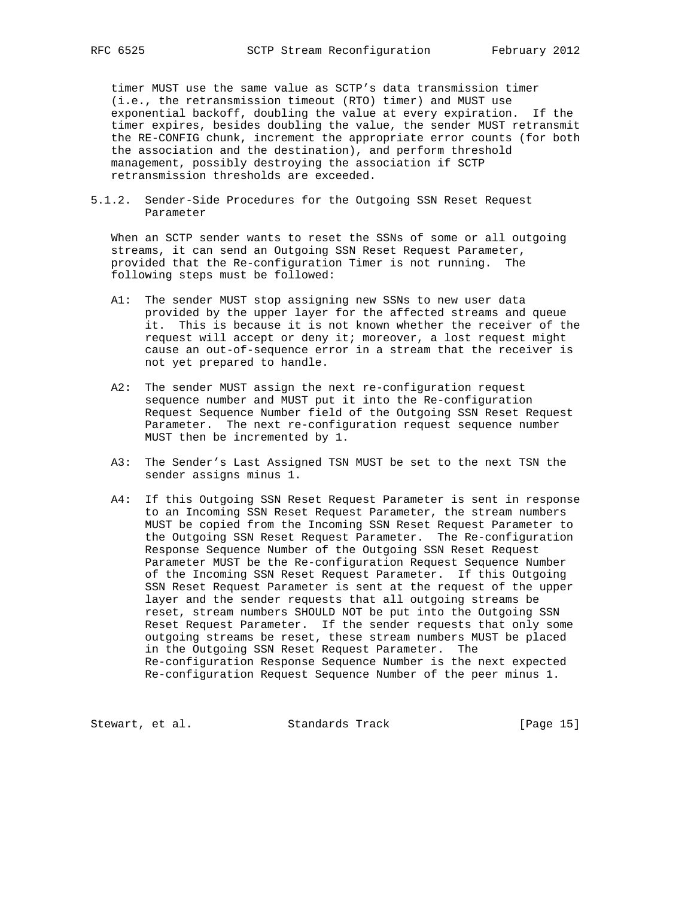timer MUST use the same value as SCTP's data transmission timer (i.e., the retransmission timeout (RTO) timer) and MUST use exponential backoff, doubling the value at every expiration. If the timer expires, besides doubling the value, the sender MUST retransmit the RE-CONFIG chunk, increment the appropriate error counts (for both the association and the destination), and perform threshold management, possibly destroying the association if SCTP retransmission thresholds are exceeded.

5.1.2. Sender-Side Procedures for the Outgoing SSN Reset Request Parameter

 When an SCTP sender wants to reset the SSNs of some or all outgoing streams, it can send an Outgoing SSN Reset Request Parameter, provided that the Re-configuration Timer is not running. The following steps must be followed:

- A1: The sender MUST stop assigning new SSNs to new user data provided by the upper layer for the affected streams and queue it. This is because it is not known whether the receiver of the request will accept or deny it; moreover, a lost request might cause an out-of-sequence error in a stream that the receiver is not yet prepared to handle.
- A2: The sender MUST assign the next re-configuration request sequence number and MUST put it into the Re-configuration Request Sequence Number field of the Outgoing SSN Reset Request Parameter. The next re-configuration request sequence number MUST then be incremented by 1.
- A3: The Sender's Last Assigned TSN MUST be set to the next TSN the sender assigns minus 1.
- A4: If this Outgoing SSN Reset Request Parameter is sent in response to an Incoming SSN Reset Request Parameter, the stream numbers MUST be copied from the Incoming SSN Reset Request Parameter to the Outgoing SSN Reset Request Parameter. The Re-configuration Response Sequence Number of the Outgoing SSN Reset Request Parameter MUST be the Re-configuration Request Sequence Number of the Incoming SSN Reset Request Parameter. If this Outgoing SSN Reset Request Parameter is sent at the request of the upper layer and the sender requests that all outgoing streams be reset, stream numbers SHOULD NOT be put into the Outgoing SSN Reset Request Parameter. If the sender requests that only some outgoing streams be reset, these stream numbers MUST be placed in the Outgoing SSN Reset Request Parameter. The Re-configuration Response Sequence Number is the next expected Re-configuration Request Sequence Number of the peer minus 1.

Stewart, et al. Standards Track [Page 15]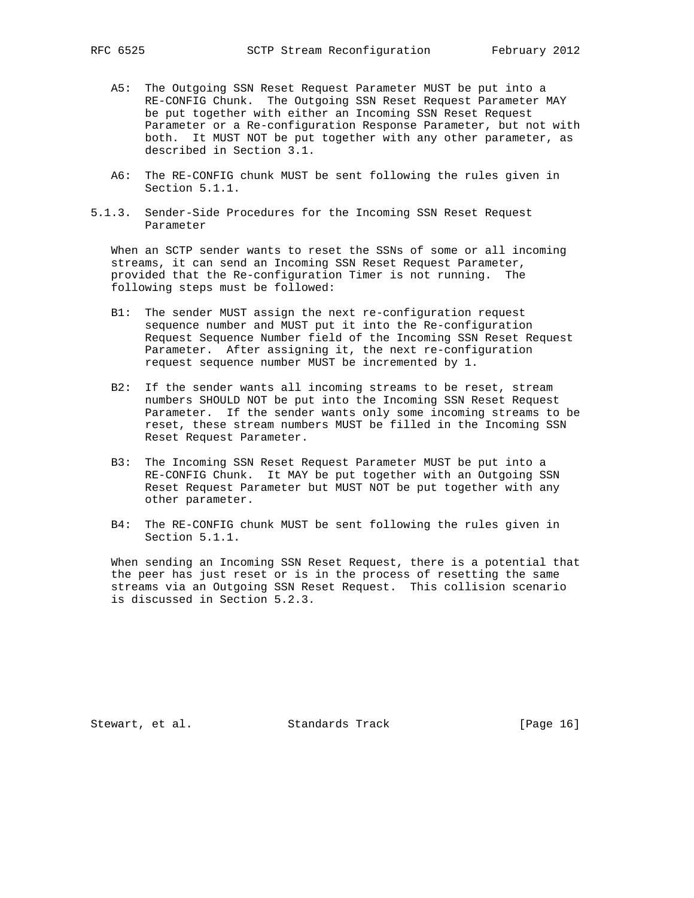- A5: The Outgoing SSN Reset Request Parameter MUST be put into a RE-CONFIG Chunk. The Outgoing SSN Reset Request Parameter MAY be put together with either an Incoming SSN Reset Request Parameter or a Re-configuration Response Parameter, but not with both. It MUST NOT be put together with any other parameter, as described in Section 3.1.
- A6: The RE-CONFIG chunk MUST be sent following the rules given in Section 5.1.1.
- 5.1.3. Sender-Side Procedures for the Incoming SSN Reset Request Parameter

 When an SCTP sender wants to reset the SSNs of some or all incoming streams, it can send an Incoming SSN Reset Request Parameter, provided that the Re-configuration Timer is not running. The following steps must be followed:

- B1: The sender MUST assign the next re-configuration request sequence number and MUST put it into the Re-configuration Request Sequence Number field of the Incoming SSN Reset Request Parameter. After assigning it, the next re-configuration request sequence number MUST be incremented by 1.
- B2: If the sender wants all incoming streams to be reset, stream numbers SHOULD NOT be put into the Incoming SSN Reset Request Parameter. If the sender wants only some incoming streams to be reset, these stream numbers MUST be filled in the Incoming SSN Reset Request Parameter.
- B3: The Incoming SSN Reset Request Parameter MUST be put into a RE-CONFIG Chunk. It MAY be put together with an Outgoing SSN Reset Request Parameter but MUST NOT be put together with any other parameter.
- B4: The RE-CONFIG chunk MUST be sent following the rules given in Section 5.1.1.

 When sending an Incoming SSN Reset Request, there is a potential that the peer has just reset or is in the process of resetting the same streams via an Outgoing SSN Reset Request. This collision scenario is discussed in Section 5.2.3.

Stewart, et al. Standards Track [Page 16]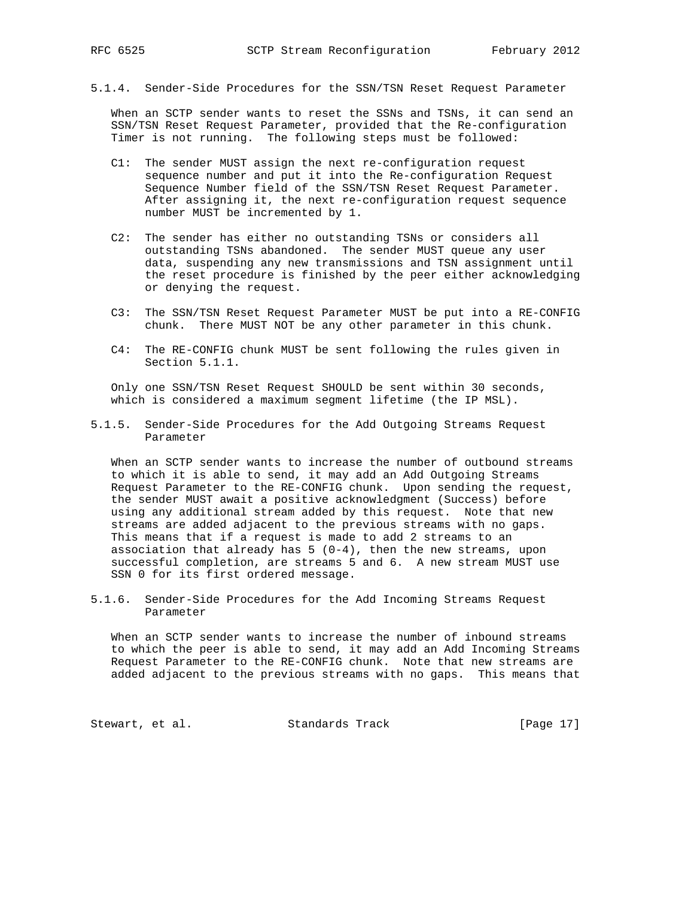- 
- 5.1.4. Sender-Side Procedures for the SSN/TSN Reset Request Parameter

 When an SCTP sender wants to reset the SSNs and TSNs, it can send an SSN/TSN Reset Request Parameter, provided that the Re-configuration Timer is not running. The following steps must be followed:

- C1: The sender MUST assign the next re-configuration request sequence number and put it into the Re-configuration Request Sequence Number field of the SSN/TSN Reset Request Parameter. After assigning it, the next re-configuration request sequence number MUST be incremented by 1.
- C2: The sender has either no outstanding TSNs or considers all outstanding TSNs abandoned. The sender MUST queue any user data, suspending any new transmissions and TSN assignment until the reset procedure is finished by the peer either acknowledging or denying the request.
- C3: The SSN/TSN Reset Request Parameter MUST be put into a RE-CONFIG chunk. There MUST NOT be any other parameter in this chunk.
- C4: The RE-CONFIG chunk MUST be sent following the rules given in Section 5.1.1.

 Only one SSN/TSN Reset Request SHOULD be sent within 30 seconds, which is considered a maximum segment lifetime (the IP MSL).

5.1.5. Sender-Side Procedures for the Add Outgoing Streams Request Parameter

 When an SCTP sender wants to increase the number of outbound streams to which it is able to send, it may add an Add Outgoing Streams Request Parameter to the RE-CONFIG chunk. Upon sending the request, the sender MUST await a positive acknowledgment (Success) before using any additional stream added by this request. Note that new streams are added adjacent to the previous streams with no gaps. This means that if a request is made to add 2 streams to an association that already has  $5(0-4)$ , then the new streams, upon successful completion, are streams 5 and 6. A new stream MUST use SSN 0 for its first ordered message.

5.1.6. Sender-Side Procedures for the Add Incoming Streams Request Parameter

 When an SCTP sender wants to increase the number of inbound streams to which the peer is able to send, it may add an Add Incoming Streams Request Parameter to the RE-CONFIG chunk. Note that new streams are added adjacent to the previous streams with no gaps. This means that

Stewart, et al. Standards Track [Page 17]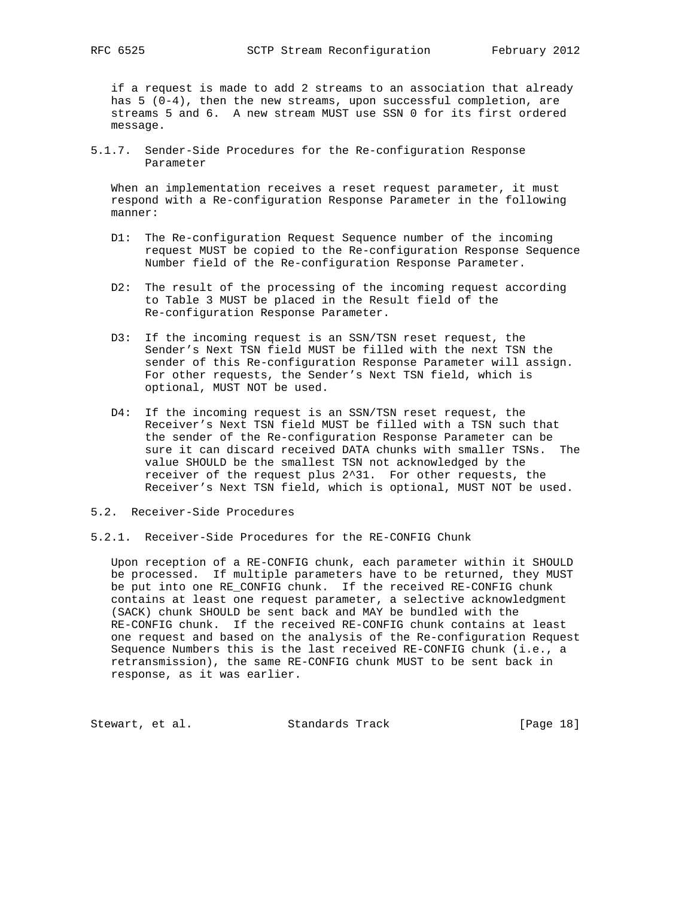if a request is made to add 2 streams to an association that already has  $5 (0-4)$ , then the new streams, upon successful completion, are streams 5 and 6. A new stream MUST use SSN 0 for its first ordered message.

5.1.7. Sender-Side Procedures for the Re-configuration Response Parameter

 When an implementation receives a reset request parameter, it must respond with a Re-configuration Response Parameter in the following manner:

- D1: The Re-configuration Request Sequence number of the incoming request MUST be copied to the Re-configuration Response Sequence Number field of the Re-configuration Response Parameter.
- D2: The result of the processing of the incoming request according to Table 3 MUST be placed in the Result field of the Re-configuration Response Parameter.
- D3: If the incoming request is an SSN/TSN reset request, the Sender's Next TSN field MUST be filled with the next TSN the sender of this Re-configuration Response Parameter will assign. For other requests, the Sender's Next TSN field, which is optional, MUST NOT be used.
- D4: If the incoming request is an SSN/TSN reset request, the Receiver's Next TSN field MUST be filled with a TSN such that the sender of the Re-configuration Response Parameter can be sure it can discard received DATA chunks with smaller TSNs. The value SHOULD be the smallest TSN not acknowledged by the receiver of the request plus 2^31. For other requests, the Receiver's Next TSN field, which is optional, MUST NOT be used.
- 5.2. Receiver-Side Procedures
- 5.2.1. Receiver-Side Procedures for the RE-CONFIG Chunk

 Upon reception of a RE-CONFIG chunk, each parameter within it SHOULD be processed. If multiple parameters have to be returned, they MUST be put into one RE\_CONFIG chunk. If the received RE-CONFIG chunk contains at least one request parameter, a selective acknowledgment (SACK) chunk SHOULD be sent back and MAY be bundled with the RE-CONFIG chunk. If the received RE-CONFIG chunk contains at least one request and based on the analysis of the Re-configuration Request Sequence Numbers this is the last received RE-CONFIG chunk (i.e., a retransmission), the same RE-CONFIG chunk MUST to be sent back in response, as it was earlier.

Stewart, et al. Standards Track [Page 18]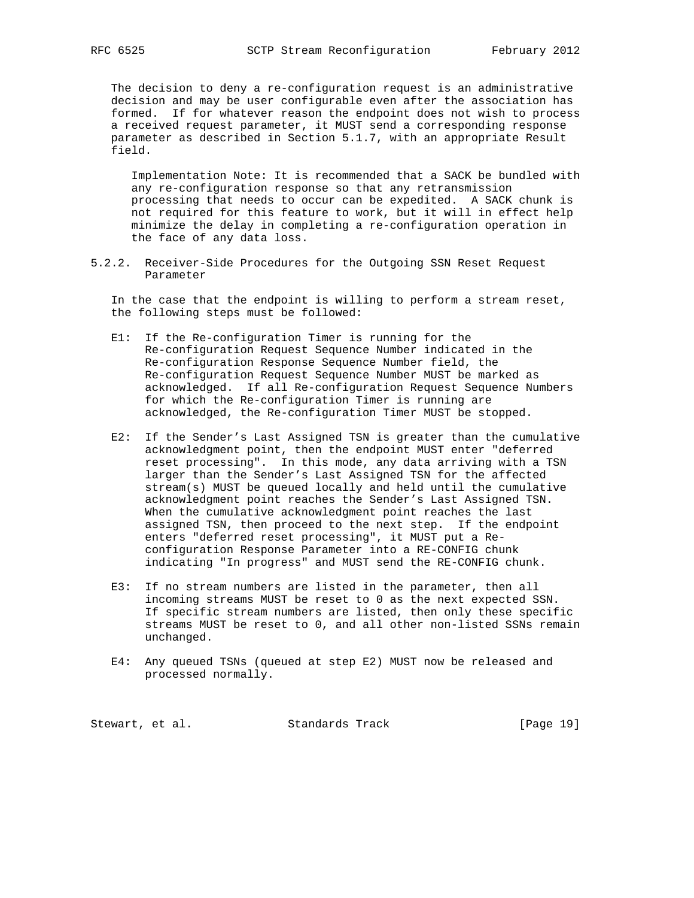The decision to deny a re-configuration request is an administrative decision and may be user configurable even after the association has formed. If for whatever reason the endpoint does not wish to process a received request parameter, it MUST send a corresponding response parameter as described in Section 5.1.7, with an appropriate Result field.

 Implementation Note: It is recommended that a SACK be bundled with any re-configuration response so that any retransmission processing that needs to occur can be expedited. A SACK chunk is not required for this feature to work, but it will in effect help minimize the delay in completing a re-configuration operation in the face of any data loss.

5.2.2. Receiver-Side Procedures for the Outgoing SSN Reset Request Parameter

 In the case that the endpoint is willing to perform a stream reset, the following steps must be followed:

- E1: If the Re-configuration Timer is running for the Re-configuration Request Sequence Number indicated in the Re-configuration Response Sequence Number field, the Re-configuration Request Sequence Number MUST be marked as acknowledged. If all Re-configuration Request Sequence Numbers for which the Re-configuration Timer is running are acknowledged, the Re-configuration Timer MUST be stopped.
- E2: If the Sender's Last Assigned TSN is greater than the cumulative acknowledgment point, then the endpoint MUST enter "deferred reset processing". In this mode, any data arriving with a TSN larger than the Sender's Last Assigned TSN for the affected stream(s) MUST be queued locally and held until the cumulative acknowledgment point reaches the Sender's Last Assigned TSN. When the cumulative acknowledgment point reaches the last assigned TSN, then proceed to the next step. If the endpoint enters "deferred reset processing", it MUST put a Re configuration Response Parameter into a RE-CONFIG chunk indicating "In progress" and MUST send the RE-CONFIG chunk.
- E3: If no stream numbers are listed in the parameter, then all incoming streams MUST be reset to 0 as the next expected SSN. If specific stream numbers are listed, then only these specific streams MUST be reset to 0, and all other non-listed SSNs remain unchanged.
- E4: Any queued TSNs (queued at step E2) MUST now be released and processed normally.

Stewart, et al. Standards Track [Page 19]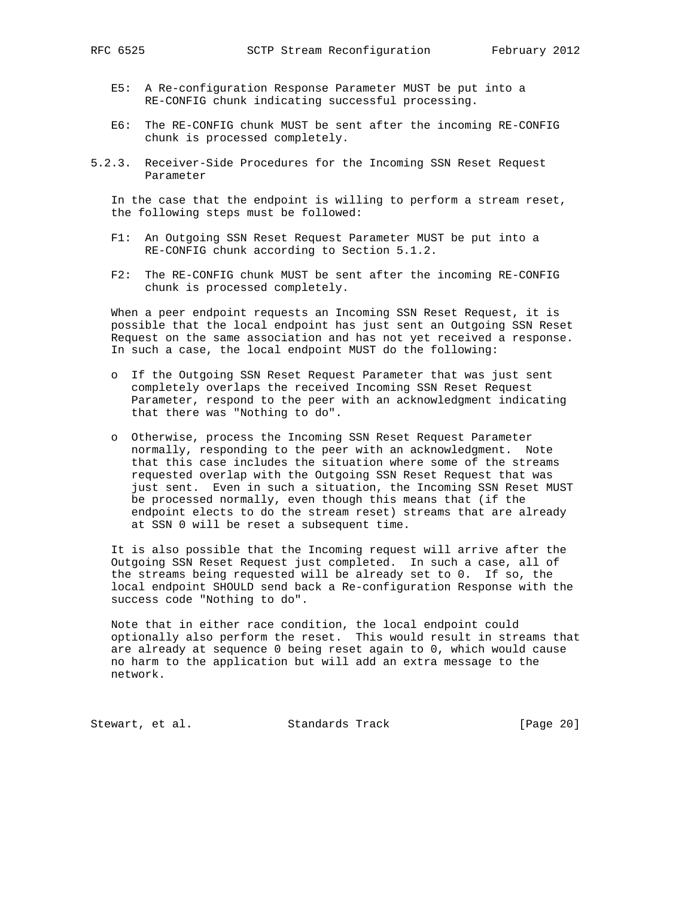- E5: A Re-configuration Response Parameter MUST be put into a RE-CONFIG chunk indicating successful processing.
- E6: The RE-CONFIG chunk MUST be sent after the incoming RE-CONFIG chunk is processed completely.
- 5.2.3. Receiver-Side Procedures for the Incoming SSN Reset Request Parameter

 In the case that the endpoint is willing to perform a stream reset, the following steps must be followed:

- F1: An Outgoing SSN Reset Request Parameter MUST be put into a RE-CONFIG chunk according to Section 5.1.2.
- F2: The RE-CONFIG chunk MUST be sent after the incoming RE-CONFIG chunk is processed completely.

 When a peer endpoint requests an Incoming SSN Reset Request, it is possible that the local endpoint has just sent an Outgoing SSN Reset Request on the same association and has not yet received a response. In such a case, the local endpoint MUST do the following:

- o If the Outgoing SSN Reset Request Parameter that was just sent completely overlaps the received Incoming SSN Reset Request Parameter, respond to the peer with an acknowledgment indicating that there was "Nothing to do".
- o Otherwise, process the Incoming SSN Reset Request Parameter normally, responding to the peer with an acknowledgment. Note that this case includes the situation where some of the streams requested overlap with the Outgoing SSN Reset Request that was just sent. Even in such a situation, the Incoming SSN Reset MUST be processed normally, even though this means that (if the endpoint elects to do the stream reset) streams that are already at SSN 0 will be reset a subsequent time.

 It is also possible that the Incoming request will arrive after the Outgoing SSN Reset Request just completed. In such a case, all of the streams being requested will be already set to 0. If so, the local endpoint SHOULD send back a Re-configuration Response with the success code "Nothing to do".

 Note that in either race condition, the local endpoint could optionally also perform the reset. This would result in streams that are already at sequence 0 being reset again to 0, which would cause no harm to the application but will add an extra message to the network.

Stewart, et al. Standards Track [Page 20]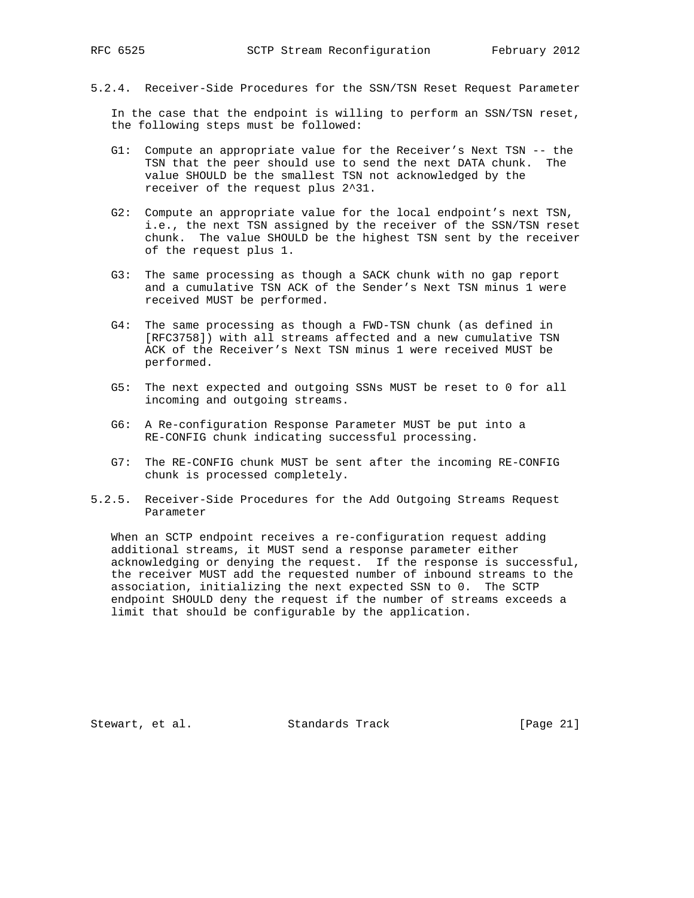5.2.4. Receiver-Side Procedures for the SSN/TSN Reset Request Parameter

 In the case that the endpoint is willing to perform an SSN/TSN reset, the following steps must be followed:

- G1: Compute an appropriate value for the Receiver's Next TSN -- the TSN that the peer should use to send the next DATA chunk. The value SHOULD be the smallest TSN not acknowledged by the receiver of the request plus 2^31.
- G2: Compute an appropriate value for the local endpoint's next TSN, i.e., the next TSN assigned by the receiver of the SSN/TSN reset chunk. The value SHOULD be the highest TSN sent by the receiver of the request plus 1.
- G3: The same processing as though a SACK chunk with no gap report and a cumulative TSN ACK of the Sender's Next TSN minus 1 were received MUST be performed.
- G4: The same processing as though a FWD-TSN chunk (as defined in [RFC3758]) with all streams affected and a new cumulative TSN ACK of the Receiver's Next TSN minus 1 were received MUST be performed.
- G5: The next expected and outgoing SSNs MUST be reset to 0 for all incoming and outgoing streams.
- G6: A Re-configuration Response Parameter MUST be put into a RE-CONFIG chunk indicating successful processing.
- G7: The RE-CONFIG chunk MUST be sent after the incoming RE-CONFIG chunk is processed completely.
- 5.2.5. Receiver-Side Procedures for the Add Outgoing Streams Request Parameter

 When an SCTP endpoint receives a re-configuration request adding additional streams, it MUST send a response parameter either acknowledging or denying the request. If the response is successful, the receiver MUST add the requested number of inbound streams to the association, initializing the next expected SSN to 0. The SCTP endpoint SHOULD deny the request if the number of streams exceeds a limit that should be configurable by the application.

Stewart, et al. Standards Track [Page 21]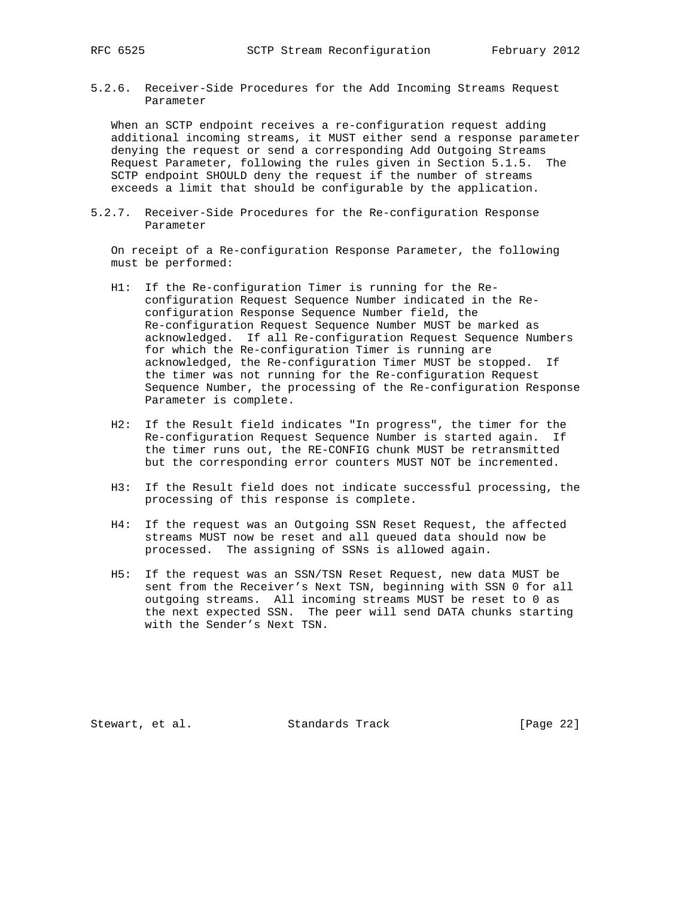5.2.6. Receiver-Side Procedures for the Add Incoming Streams Request Parameter

 When an SCTP endpoint receives a re-configuration request adding additional incoming streams, it MUST either send a response parameter denying the request or send a corresponding Add Outgoing Streams Request Parameter, following the rules given in Section 5.1.5. The SCTP endpoint SHOULD deny the request if the number of streams exceeds a limit that should be configurable by the application.

5.2.7. Receiver-Side Procedures for the Re-configuration Response Parameter

 On receipt of a Re-configuration Response Parameter, the following must be performed:

- H1: If the Re-configuration Timer is running for the Re configuration Request Sequence Number indicated in the Re configuration Response Sequence Number field, the Re-configuration Request Sequence Number MUST be marked as acknowledged. If all Re-configuration Request Sequence Numbers for which the Re-configuration Timer is running are acknowledged, the Re-configuration Timer MUST be stopped. If the timer was not running for the Re-configuration Request Sequence Number, the processing of the Re-configuration Response Parameter is complete.
- H2: If the Result field indicates "In progress", the timer for the Re-configuration Request Sequence Number is started again. If the timer runs out, the RE-CONFIG chunk MUST be retransmitted but the corresponding error counters MUST NOT be incremented.
- H3: If the Result field does not indicate successful processing, the processing of this response is complete.
- H4: If the request was an Outgoing SSN Reset Request, the affected streams MUST now be reset and all queued data should now be processed. The assigning of SSNs is allowed again.
- H5: If the request was an SSN/TSN Reset Request, new data MUST be sent from the Receiver's Next TSN, beginning with SSN 0 for all outgoing streams. All incoming streams MUST be reset to 0 as the next expected SSN. The peer will send DATA chunks starting with the Sender's Next TSN.

Stewart, et al. Standards Track [Page 22]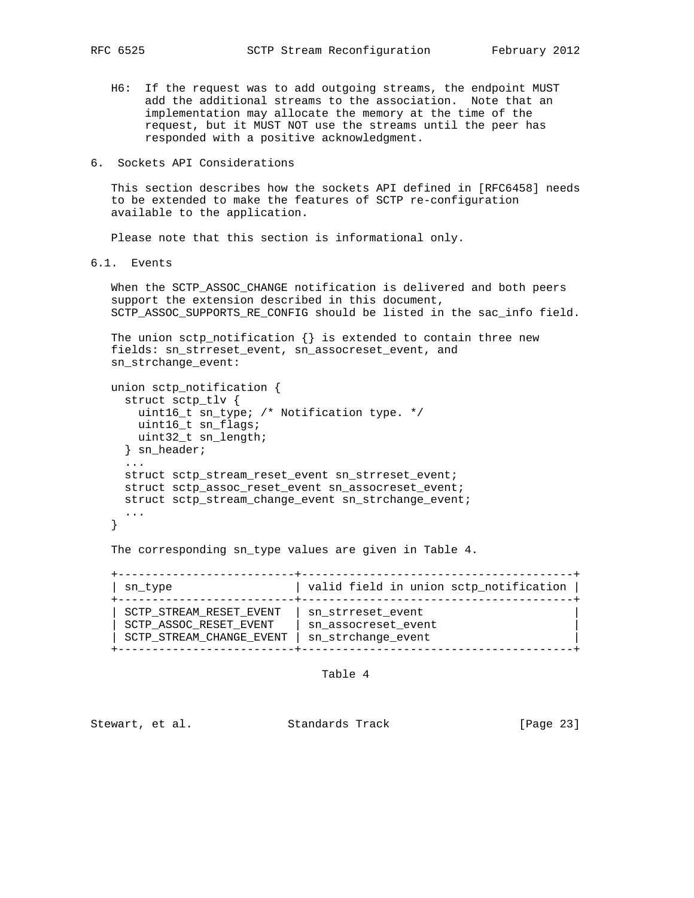- H6: If the request was to add outgoing streams, the endpoint MUST add the additional streams to the association. Note that an implementation may allocate the memory at the time of the request, but it MUST NOT use the streams until the peer has responded with a positive acknowledgment.
- 6. Sockets API Considerations

 This section describes how the sockets API defined in [RFC6458] needs to be extended to make the features of SCTP re-configuration available to the application.

Please note that this section is informational only.

6.1. Events

 When the SCTP\_ASSOC\_CHANGE notification is delivered and both peers support the extension described in this document, SCTP\_ASSOC\_SUPPORTS\_RE\_CONFIG should be listed in the sac\_info field.

```
The union sctp_notification \{\} is extended to contain three new
 fields: sn_strreset_event, sn_assocreset_event, and
 sn_strchange_event:
```

```
 union sctp_notification {
     struct sctp_tlv {
       uint16_t sn_type; /* Notification type. */
       uint16_t sn_flags;
      uint32_t sn_length;
     } sn_header;
     ...
     struct sctp_stream_reset_event sn_strreset_event;
     struct sctp_assoc_reset_event sn_assocreset_event;
    struct sctp stream change event sn_strchange_event;
 ...
   }
```
The corresponding sn\_type values are given in Table 4.

 +--------------------------+----------------------------------------+ | sn\_type | valid field in union sctp\_notification | +--------------------------+----------------------------------------+ | SCTP\_STREAM\_RESET\_EVENT | sn\_strreset\_event | | SCTP\_ASSOC\_RESET\_EVENT | sn\_assocreset\_event | | SCTP\_STREAM\_CHANGE\_EVENT | sn\_strchange\_event | +--------------------------+----------------------------------------+

Table 4

Stewart, et al. Standards Track [Page 23]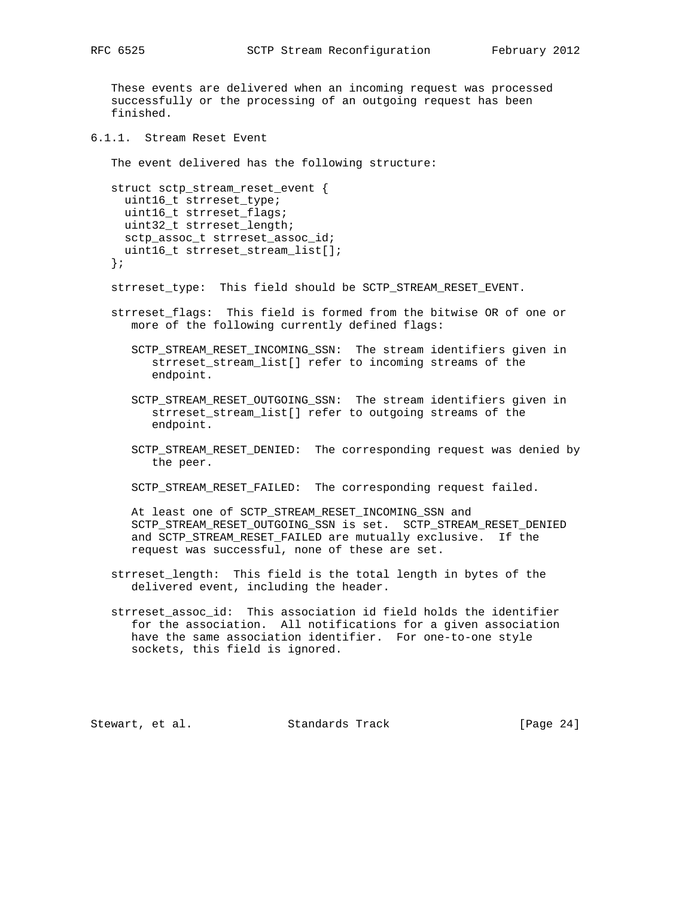These events are delivered when an incoming request was processed successfully or the processing of an outgoing request has been finished.

6.1.1. Stream Reset Event

The event delivered has the following structure:

```
 struct sctp_stream_reset_event {
  uint16_t strreset_type;
  uint16_t strreset_flags;
  uint32_t strreset_length;
  sctp_assoc_t strreset_assoc_id;
  uint16_t strreset_stream_list[];
 };
```
strreset\_type: This field should be SCTP\_STREAM\_RESET\_EVENT.

- strreset\_flags: This field is formed from the bitwise OR of one or more of the following currently defined flags:
	- SCTP\_STREAM\_RESET\_INCOMING\_SSN: The stream identifiers given in strreset\_stream\_list[] refer to incoming streams of the endpoint.
	- SCTP\_STREAM\_RESET\_OUTGOING\_SSN: The stream identifiers given in strreset\_stream\_list[] refer to outgoing streams of the endpoint.
	- SCTP\_STREAM\_RESET\_DENIED: The corresponding request was denied by the peer.
	- SCTP\_STREAM\_RESET\_FAILED: The corresponding request failed.

 At least one of SCTP\_STREAM\_RESET\_INCOMING\_SSN and SCTP\_STREAM\_RESET\_OUTGOING\_SSN is set. SCTP\_STREAM\_RESET\_DENIED and SCTP\_STREAM\_RESET\_FAILED are mutually exclusive. If the request was successful, none of these are set.

- strreset\_length: This field is the total length in bytes of the delivered event, including the header.
- strreset\_assoc\_id: This association id field holds the identifier for the association. All notifications for a given association have the same association identifier. For one-to-one style sockets, this field is ignored.

Stewart, et al. Standards Track [Page 24]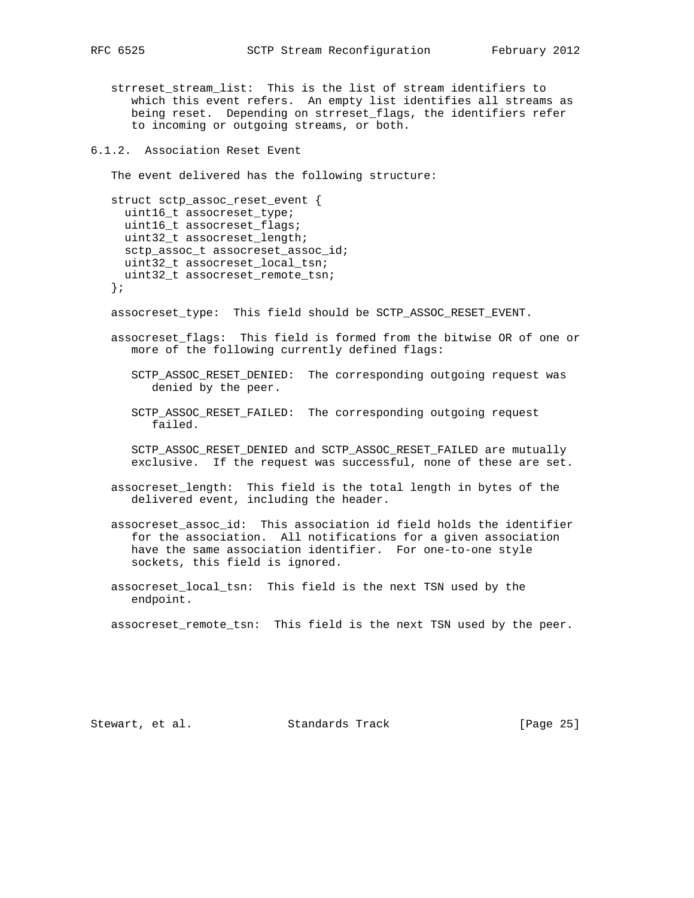strreset\_stream\_list: This is the list of stream identifiers to which this event refers. An empty list identifies all streams as being reset. Depending on strreset\_flags, the identifiers refer to incoming or outgoing streams, or both.

6.1.2. Association Reset Event

The event delivered has the following structure:

```
 struct sctp_assoc_reset_event {
  uint16_t assocreset_type;
   uint16_t assocreset_flags;
 uint32 t assocreset length;
   sctp_assoc_t assocreset_assoc_id;
  uint32_t assocreset_local_tsn;
  uint32_t assocreset_remote_tsn;
 };
```
assocreset\_type: This field should be SCTP\_ASSOC\_RESET\_EVENT.

- assocreset\_flags: This field is formed from the bitwise OR of one or more of the following currently defined flags:
	- SCTP\_ASSOC\_RESET\_DENIED: The corresponding outgoing request was denied by the peer.
	- SCTP\_ASSOC\_RESET\_FAILED: The corresponding outgoing request failed.

 SCTP\_ASSOC\_RESET\_DENIED and SCTP\_ASSOC\_RESET\_FAILED are mutually exclusive. If the request was successful, none of these are set.

 assocreset\_length: This field is the total length in bytes of the delivered event, including the header.

- assocreset\_assoc\_id: This association id field holds the identifier for the association. All notifications for a given association have the same association identifier. For one-to-one style sockets, this field is ignored.
- assocreset\_local\_tsn: This field is the next TSN used by the endpoint.

assocreset\_remote\_tsn: This field is the next TSN used by the peer.

Stewart, et al. Standards Track [Page 25]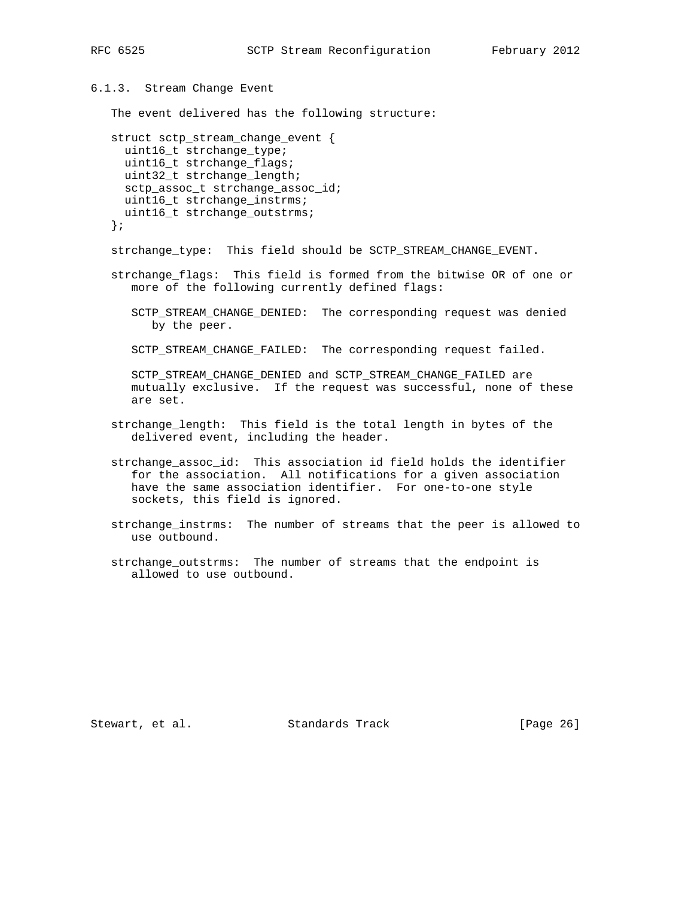```
6.1.3. Stream Change Event
    The event delivered has the following structure:
   struct sctp_stream_change_event {
     uint16_t strchange_type;
     uint16_t strchange_flags;
     uint32_t strchange_length;
     sctp_assoc_t strchange_assoc_id;
     uint16_t strchange_instrms;
     uint16_t strchange_outstrms;
    };
   strchange_type: This field should be SCTP_STREAM_CHANGE_EVENT.
   strchange_flags: This field is formed from the bitwise OR of one or
      more of the following currently defined flags:
      SCTP_STREAM_CHANGE_DENIED: The corresponding request was denied
         by the peer.
       SCTP_STREAM_CHANGE_FAILED: The corresponding request failed.
       SCTP_STREAM_CHANGE_DENIED and SCTP_STREAM_CHANGE_FAILED are
      mutually exclusive. If the request was successful, none of these
       are set.
    strchange_length: This field is the total length in bytes of the
       delivered event, including the header.
    strchange_assoc_id: This association id field holds the identifier
      for the association. All notifications for a given association
      have the same association identifier. For one-to-one style
       sockets, this field is ignored.
   strchange_instrms: The number of streams that the peer is allowed to
      use outbound.
   strchange_outstrms: The number of streams that the endpoint is
       allowed to use outbound.
```
Stewart, et al. Standards Track [Page 26]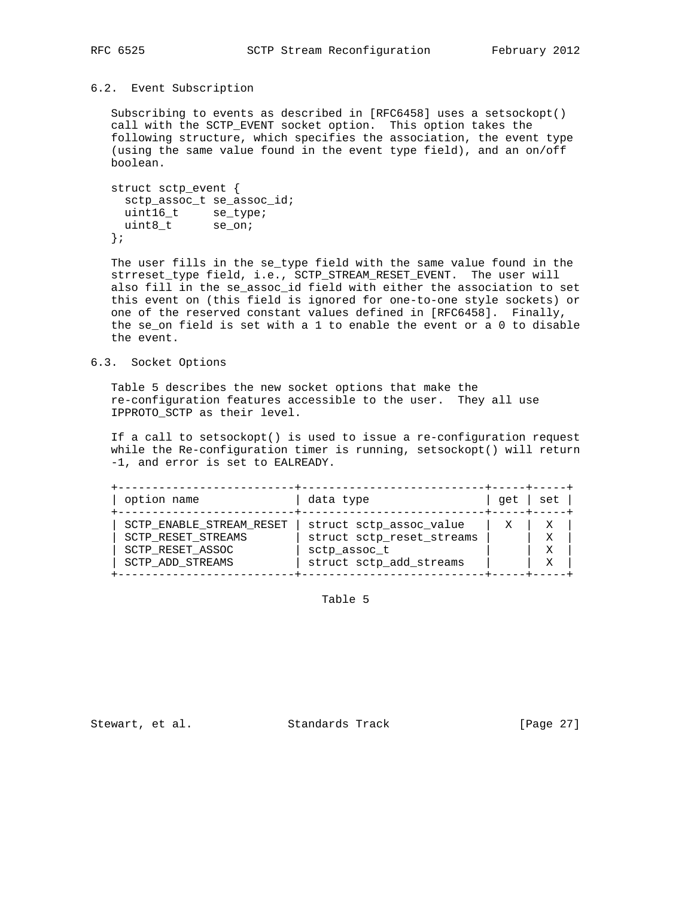### 6.2. Event Subscription

 Subscribing to events as described in [RFC6458] uses a setsockopt() call with the SCTP\_EVENT socket option. This option takes the following structure, which specifies the association, the event type (using the same value found in the event type field), and an on/off boolean.

```
 struct sctp_event {
    sctp_assoc_t se_assoc_id;
uint16_t se_type;
uint8_t se_on;
   };
```
 The user fills in the se\_type field with the same value found in the strreset\_type field, i.e., SCTP\_STREAM\_RESET\_EVENT. The user will also fill in the se\_assoc\_id field with either the association to set this event on (this field is ignored for one-to-one style sockets) or one of the reserved constant values defined in [RFC6458]. Finally, the se\_on field is set with a 1 to enable the event or a 0 to disable the event.

### 6.3. Socket Options

 Table 5 describes the new socket options that make the re-configuration features accessible to the user. They all use IPPROTO\_SCTP as their level.

 If a call to setsockopt() is used to issue a re-configuration request while the Re-configuration timer is running, setsockopt() will return -1, and error is set to EALREADY.

| option name                                                                            | data type                                                                                       | qet l | set |
|----------------------------------------------------------------------------------------|-------------------------------------------------------------------------------------------------|-------|-----|
| SCTP_ENABLE_STREAM_RESET<br>SCTP RESET STREAMS<br>SCTP RESET ASSOC<br>SCTP ADD STREAMS | struct sctp assoc value<br>struct sctp_reset_streams<br>sctp assoc t<br>struct sctp_add_streams |       |     |

Table 5

Stewart, et al. Standards Track [Page 27]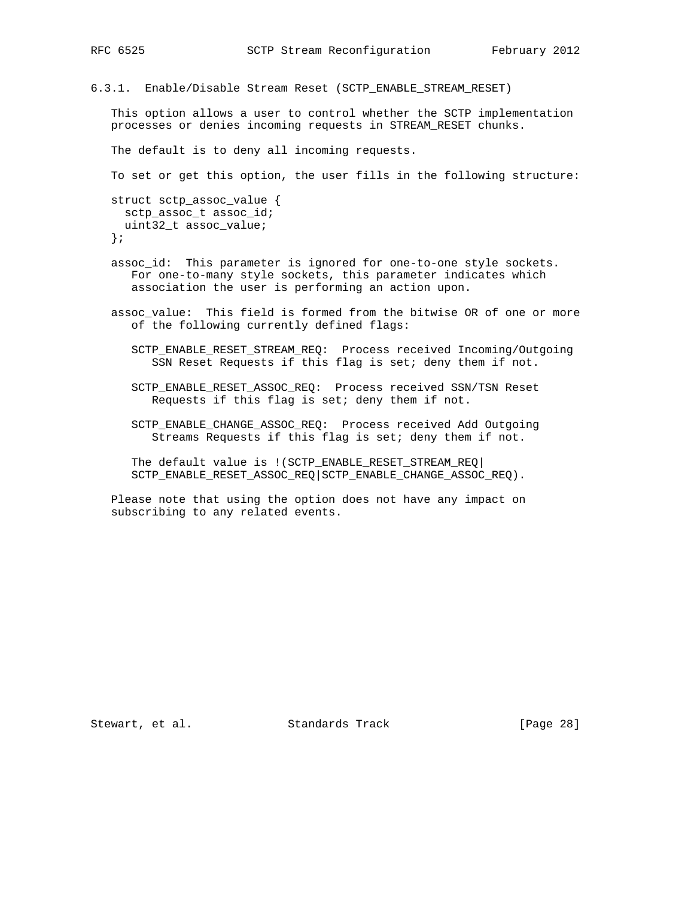6.3.1. Enable/Disable Stream Reset (SCTP\_ENABLE\_STREAM\_RESET)

 This option allows a user to control whether the SCTP implementation processes or denies incoming requests in STREAM\_RESET chunks.

The default is to deny all incoming requests.

To set or get this option, the user fills in the following structure:

```
 struct sctp_assoc_value {
  sctp_assoc_t assoc_id;
  uint32_t assoc_value;
 };
```
 assoc\_id: This parameter is ignored for one-to-one style sockets. For one-to-many style sockets, this parameter indicates which association the user is performing an action upon.

 assoc\_value: This field is formed from the bitwise OR of one or more of the following currently defined flags:

 SCTP\_ENABLE\_RESET\_STREAM\_REQ: Process received Incoming/Outgoing SSN Reset Requests if this flag is set; deny them if not.

 SCTP\_ENABLE\_RESET\_ASSOC\_REQ: Process received SSN/TSN Reset Requests if this flag is set; deny them if not.

 SCTP\_ENABLE\_CHANGE\_ASSOC\_REQ: Process received Add Outgoing Streams Requests if this flag is set; deny them if not.

 The default value is !(SCTP\_ENABLE\_RESET\_STREAM\_REQ| SCTP\_ENABLE\_RESET\_ASSOC\_REQ|SCTP\_ENABLE\_CHANGE\_ASSOC\_REQ).

 Please note that using the option does not have any impact on subscribing to any related events.

Stewart, et al. Standards Track [Page 28]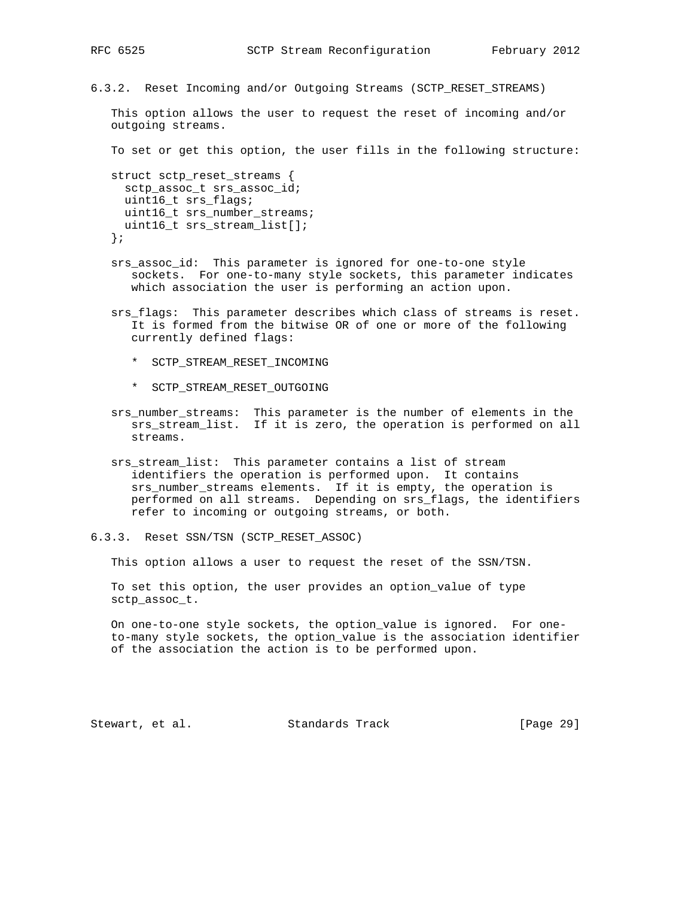- 
- 6.3.2. Reset Incoming and/or Outgoing Streams (SCTP\_RESET\_STREAMS)

 This option allows the user to request the reset of incoming and/or outgoing streams.

To set or get this option, the user fills in the following structure:

 struct sctp\_reset\_streams { sctp\_assoc\_t srs\_assoc\_id; uint16 t srs flags; uint16\_t srs\_number\_streams; uint16\_t srs\_stream\_list[]; };

- srs\_assoc\_id: This parameter is ignored for one-to-one style sockets. For one-to-many style sockets, this parameter indicates which association the user is performing an action upon.
- srs\_flags: This parameter describes which class of streams is reset. It is formed from the bitwise OR of one or more of the following currently defined flags:
	- \* SCTP\_STREAM\_RESET\_INCOMING
	- \* SCTP\_STREAM\_RESET\_OUTGOING
- srs\_number\_streams: This parameter is the number of elements in the srs\_stream\_list. If it is zero, the operation is performed on all streams.
- srs\_stream\_list: This parameter contains a list of stream identifiers the operation is performed upon. It contains srs\_number\_streams elements. If it is empty, the operation is performed on all streams. Depending on srs\_flags, the identifiers refer to incoming or outgoing streams, or both.

6.3.3. Reset SSN/TSN (SCTP\_RESET\_ASSOC)

This option allows a user to request the reset of the SSN/TSN.

 To set this option, the user provides an option\_value of type sctp\_assoc\_t.

 On one-to-one style sockets, the option\_value is ignored. For one to-many style sockets, the option\_value is the association identifier of the association the action is to be performed upon.

Stewart, et al. Standards Track [Page 29]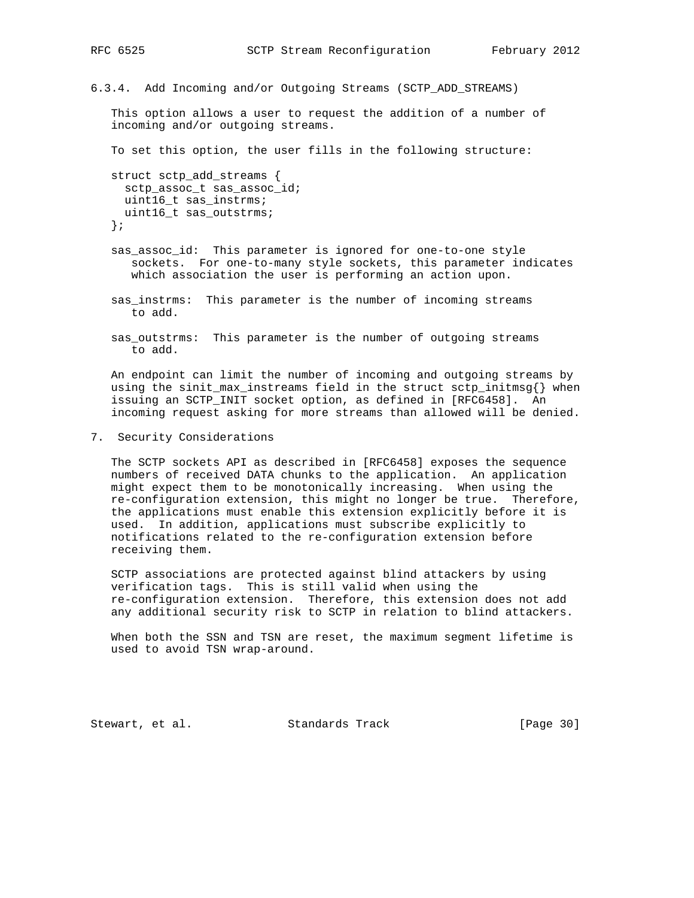6.3.4. Add Incoming and/or Outgoing Streams (SCTP\_ADD\_STREAMS)

 This option allows a user to request the addition of a number of incoming and/or outgoing streams.

To set this option, the user fills in the following structure:

```
 struct sctp_add_streams {
  sctp_assoc_t sas_assoc_id;
 uint16 t sas instrms;
  uint16_t sas_outstrms;
 };
```
- sas\_assoc\_id: This parameter is ignored for one-to-one style sockets. For one-to-many style sockets, this parameter indicates which association the user is performing an action upon.
- sas\_instrms: This parameter is the number of incoming streams to add.
- sas\_outstrms: This parameter is the number of outgoing streams to add.

 An endpoint can limit the number of incoming and outgoing streams by using the sinit\_max\_instreams field in the struct sctp\_initmsg{} when issuing an SCTP\_INIT socket option, as defined in [RFC6458]. An incoming request asking for more streams than allowed will be denied.

7. Security Considerations

 The SCTP sockets API as described in [RFC6458] exposes the sequence numbers of received DATA chunks to the application. An application might expect them to be monotonically increasing. When using the re-configuration extension, this might no longer be true. Therefore, the applications must enable this extension explicitly before it is used. In addition, applications must subscribe explicitly to notifications related to the re-configuration extension before receiving them.

 SCTP associations are protected against blind attackers by using verification tags. This is still valid when using the re-configuration extension. Therefore, this extension does not add any additional security risk to SCTP in relation to blind attackers.

 When both the SSN and TSN are reset, the maximum segment lifetime is used to avoid TSN wrap-around.

Stewart, et al. Standards Track [Page 30]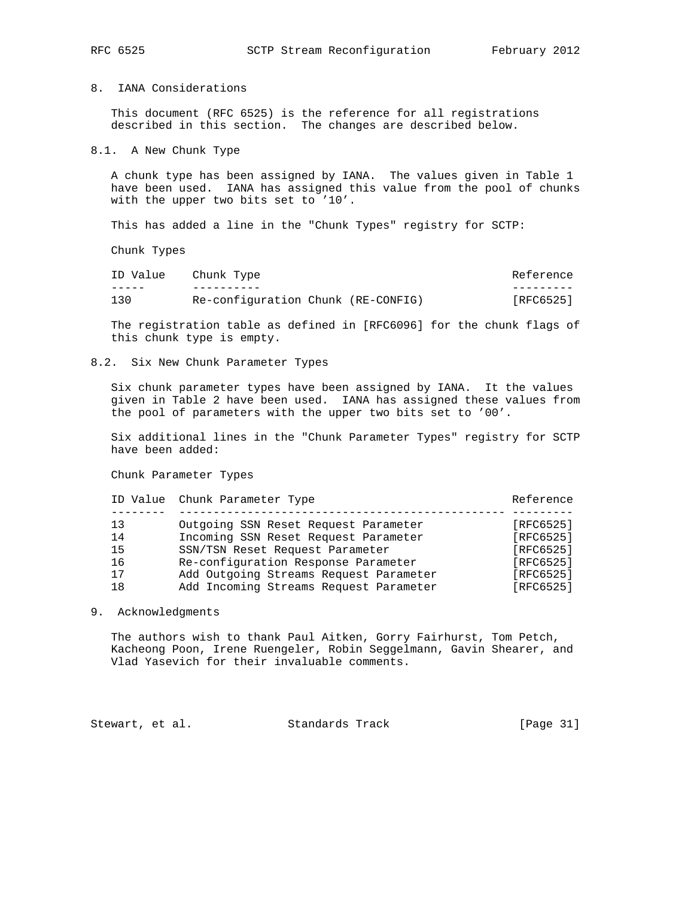# 8. IANA Considerations

 This document (RFC 6525) is the reference for all registrations described in this section. The changes are described below.

### 8.1. A New Chunk Type

 A chunk type has been assigned by IANA. The values given in Table 1 have been used. IANA has assigned this value from the pool of chunks with the upper two bits set to '10'.

This has added a line in the "Chunk Types" registry for SCTP:

Chunk Types

| ID Value | Chunk Type                         | Reference |
|----------|------------------------------------|-----------|
|          |                                    |           |
| 130      | Re-configuration Chunk (RE-CONFIG) | [RFC6525] |

 The registration table as defined in [RFC6096] for the chunk flags of this chunk type is empty.

### 8.2. Six New Chunk Parameter Types

 Six chunk parameter types have been assigned by IANA. It the values given in Table 2 have been used. IANA has assigned these values from the pool of parameters with the upper two bits set to '00'.

 Six additional lines in the "Chunk Parameter Types" registry for SCTP have been added:

Chunk Parameter Types

|    | ID Value Chunk Parameter Type          | Reference |
|----|----------------------------------------|-----------|
|    |                                        |           |
| 13 | Outgoing SSN Reset Request Parameter   | [RFC6525] |
| 14 | Incoming SSN Reset Request Parameter   | [RFC6525] |
| 15 | SSN/TSN Reset Request Parameter        | [RFC6525] |
| 16 | Re-configuration Response Parameter    | [RFC6525] |
| 17 | Add Outgoing Streams Request Parameter | [RFC6525] |
| 18 | Add Incoming Streams Request Parameter | [RFC6525] |
|    |                                        |           |

### 9. Acknowledgments

 The authors wish to thank Paul Aitken, Gorry Fairhurst, Tom Petch, Kacheong Poon, Irene Ruengeler, Robin Seggelmann, Gavin Shearer, and Vlad Yasevich for their invaluable comments.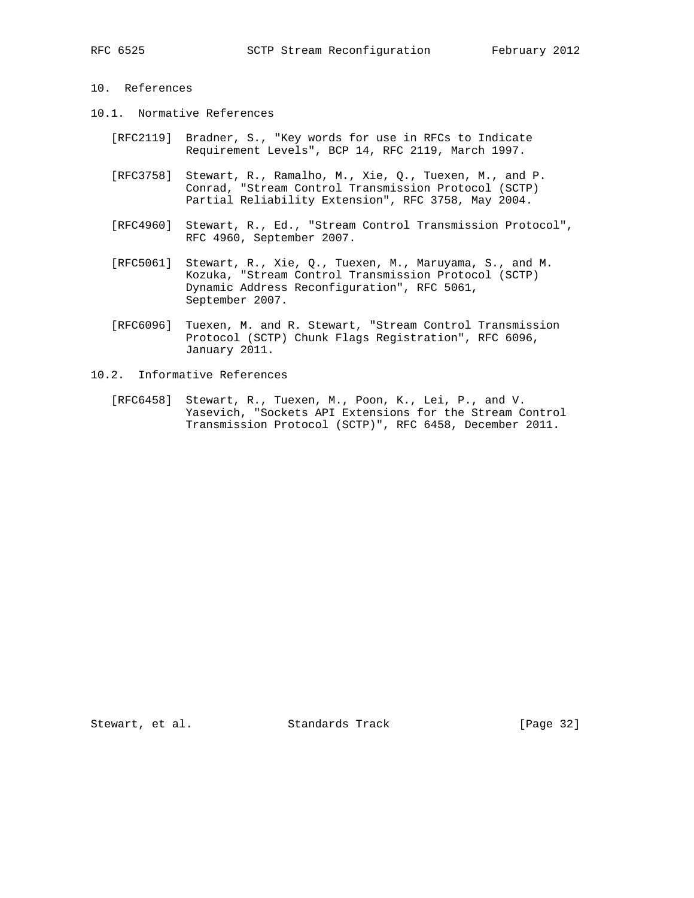# 10. References

- 10.1. Normative References
	- [RFC2119] Bradner, S., "Key words for use in RFCs to Indicate Requirement Levels", BCP 14, RFC 2119, March 1997.
	- [RFC3758] Stewart, R., Ramalho, M., Xie, Q., Tuexen, M., and P. Conrad, "Stream Control Transmission Protocol (SCTP) Partial Reliability Extension", RFC 3758, May 2004.
	- [RFC4960] Stewart, R., Ed., "Stream Control Transmission Protocol", RFC 4960, September 2007.
	- [RFC5061] Stewart, R., Xie, Q., Tuexen, M., Maruyama, S., and M. Kozuka, "Stream Control Transmission Protocol (SCTP) Dynamic Address Reconfiguration", RFC 5061, September 2007.
	- [RFC6096] Tuexen, M. and R. Stewart, "Stream Control Transmission Protocol (SCTP) Chunk Flags Registration", RFC 6096, January 2011.
- 10.2. Informative References
	- [RFC6458] Stewart, R., Tuexen, M., Poon, K., Lei, P., and V. Yasevich, "Sockets API Extensions for the Stream Control Transmission Protocol (SCTP)", RFC 6458, December 2011.

Stewart, et al. Standards Track [Page 32]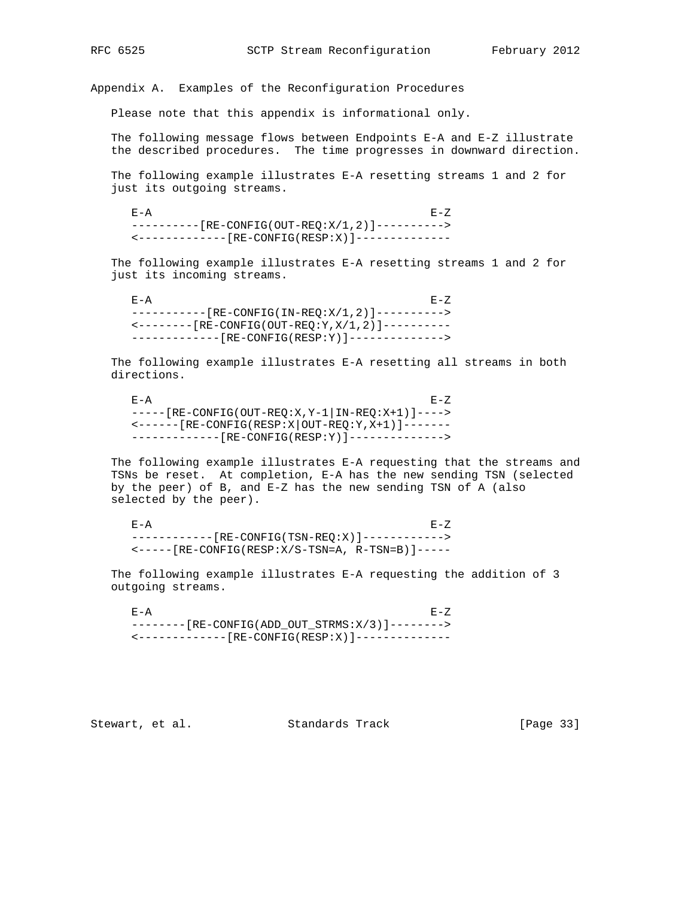Appendix A. Examples of the Reconfiguration Procedures

Please note that this appendix is informational only.

 The following message flows between Endpoints E-A and E-Z illustrate the described procedures. The time progresses in downward direction.

 The following example illustrates E-A resetting streams 1 and 2 for just its outgoing streams.

 $E-A$  E-A ---------[RE-CONFIG(OUT-REQ:X/1,2)]----------> <-------------[RE-CONFIG(RESP:X)]--------------

 The following example illustrates E-A resetting streams 1 and 2 for just its incoming streams.

 $E-A$  E-A -----------[RE-CONFIG(IN-REQ:X/1,2)]----------> <--------[RE-CONFIG(OUT-REQ:Y,X/1,2)]---------- -------------[RE-CONFIG(RESP:Y)]-------------->

 The following example illustrates E-A resetting all streams in both directions.

 $E-A$  E-A -----[RE-CONFIG(OUT-REQ:X,Y-1|IN-REQ:X+1)]----> <------[RE-CONFIG(RESP:X|OUT-REQ:Y,X+1)]------- -------------[RE-CONFIG(RESP:Y)]-------------->

 The following example illustrates E-A requesting that the streams and TSNs be reset. At completion, E-A has the new sending TSN (selected by the peer) of B, and E-Z has the new sending TSN of A (also selected by the peer).

 $E-A$  E-A ------------[RE-CONFIG(TSN-REQ:X)]------------> <-----[RE-CONFIG(RESP:X/S-TSN=A, R-TSN=B)]-----

 The following example illustrates E-A requesting the addition of 3 outgoing streams.

 $E-A$  E-A --------[RE-CONFIG(ADD\_OUT\_STRMS:X/3)]--------> <-------------[RE-CONFIG(RESP:X)]--------------

Stewart, et al. Standards Track [Page 33]